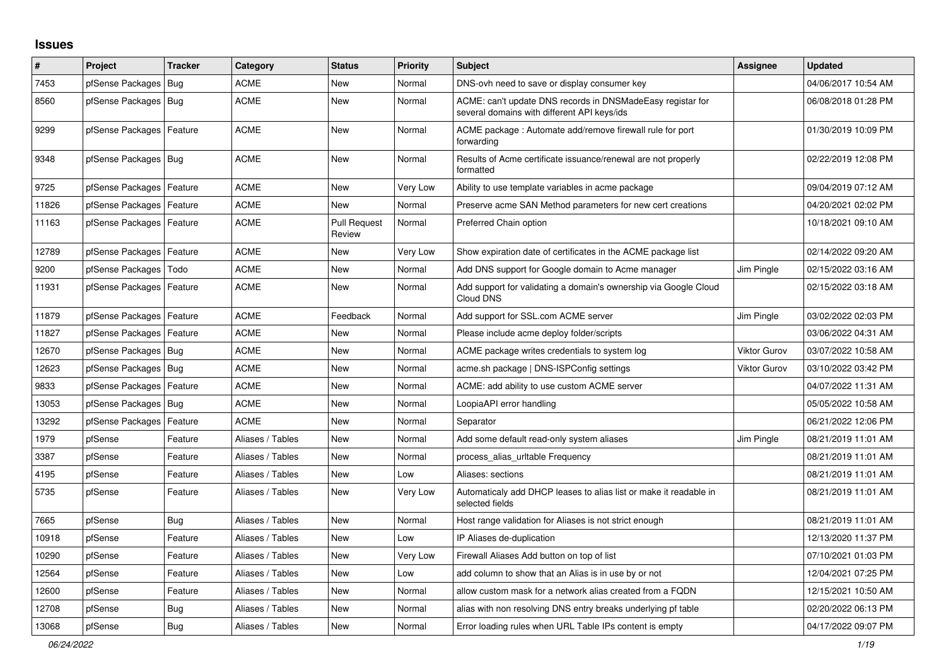## **Issues**

| #     | Project                    | <b>Tracker</b> | Category         | <b>Status</b>                 | <b>Priority</b> | <b>Subject</b>                                                                                            | Assignee            | <b>Updated</b>      |
|-------|----------------------------|----------------|------------------|-------------------------------|-----------------|-----------------------------------------------------------------------------------------------------------|---------------------|---------------------|
| 7453  | pfSense Packages           | Bug            | <b>ACME</b>      | <b>New</b>                    | Normal          | DNS-ovh need to save or display consumer key                                                              |                     | 04/06/2017 10:54 AM |
| 8560  | pfSense Packages   Bug     |                | <b>ACME</b>      | <b>New</b>                    | Normal          | ACME: can't update DNS records in DNSMadeEasy registar for<br>several domains with different API keys/ids |                     | 06/08/2018 01:28 PM |
| 9299  | pfSense Packages   Feature |                | ACME             | New                           | Normal          | ACME package: Automate add/remove firewall rule for port<br>forwarding                                    |                     | 01/30/2019 10:09 PM |
| 9348  | pfSense Packages   Bug     |                | <b>ACME</b>      | <b>New</b>                    | Normal          | Results of Acme certificate issuance/renewal are not properly<br>formatted                                |                     | 02/22/2019 12:08 PM |
| 9725  | pfSense Packages   Feature |                | <b>ACME</b>      | <b>New</b>                    | Very Low        | Ability to use template variables in acme package                                                         |                     | 09/04/2019 07:12 AM |
| 11826 | pfSense Packages   Feature |                | <b>ACME</b>      | New                           | Normal          | Preserve acme SAN Method parameters for new cert creations                                                |                     | 04/20/2021 02:02 PM |
| 11163 | pfSense Packages   Feature |                | <b>ACME</b>      | <b>Pull Request</b><br>Review | Normal          | Preferred Chain option                                                                                    |                     | 10/18/2021 09:10 AM |
| 12789 | pfSense Packages   Feature |                | ACME             | New                           | Very Low        | Show expiration date of certificates in the ACME package list                                             |                     | 02/14/2022 09:20 AM |
| 9200  | pfSense Packages           | Todo           | ACME             | New                           | Normal          | Add DNS support for Google domain to Acme manager                                                         | Jim Pingle          | 02/15/2022 03:16 AM |
| 11931 | pfSense Packages   Feature |                | <b>ACME</b>      | <b>New</b>                    | Normal          | Add support for validating a domain's ownership via Google Cloud<br>Cloud DNS                             |                     | 02/15/2022 03:18 AM |
| 11879 | pfSense Packages   Feature |                | <b>ACME</b>      | Feedback                      | Normal          | Add support for SSL.com ACME server                                                                       | Jim Pingle          | 03/02/2022 02:03 PM |
| 11827 | pfSense Packages   Feature |                | <b>ACME</b>      | <b>New</b>                    | Normal          | Please include acme deploy folder/scripts                                                                 |                     | 03/06/2022 04:31 AM |
| 12670 | pfSense Packages   Bug     |                | ACME             | <b>New</b>                    | Normal          | ACME package writes credentials to system log                                                             | <b>Viktor Gurov</b> | 03/07/2022 10:58 AM |
| 12623 | pfSense Packages   Bug     |                | ACME             | <b>New</b>                    | Normal          | acme.sh package   DNS-ISPConfig settings                                                                  | <b>Viktor Gurov</b> | 03/10/2022 03:42 PM |
| 9833  | pfSense Packages   Feature |                | ACME             | New                           | Normal          | ACME: add ability to use custom ACME server                                                               |                     | 04/07/2022 11:31 AM |
| 13053 | pfSense Packages   Bug     |                | <b>ACME</b>      | <b>New</b>                    | Normal          | LoopiaAPI error handling                                                                                  |                     | 05/05/2022 10:58 AM |
| 13292 | pfSense Packages           | Feature        | ACME             | <b>New</b>                    | Normal          | Separator                                                                                                 |                     | 06/21/2022 12:06 PM |
| 1979  | pfSense                    | Feature        | Aliases / Tables | <b>New</b>                    | Normal          | Add some default read-only system aliases                                                                 | Jim Pingle          | 08/21/2019 11:01 AM |
| 3387  | pfSense                    | Feature        | Aliases / Tables | <b>New</b>                    | Normal          | process_alias_urItable Frequency                                                                          |                     | 08/21/2019 11:01 AM |
| 4195  | pfSense                    | Feature        | Aliases / Tables | New                           | Low             | Aliases: sections                                                                                         |                     | 08/21/2019 11:01 AM |
| 5735  | pfSense                    | Feature        | Aliases / Tables | New                           | Very Low        | Automaticaly add DHCP leases to alias list or make it readable in<br>selected fields                      |                     | 08/21/2019 11:01 AM |
| 7665  | pfSense                    | Bug            | Aliases / Tables | New                           | Normal          | Host range validation for Aliases is not strict enough                                                    |                     | 08/21/2019 11:01 AM |
| 10918 | pfSense                    | Feature        | Aliases / Tables | <b>New</b>                    | Low             | IP Aliases de-duplication                                                                                 |                     | 12/13/2020 11:37 PM |
| 10290 | pfSense                    | Feature        | Aliases / Tables | <b>New</b>                    | Very Low        | Firewall Aliases Add button on top of list                                                                |                     | 07/10/2021 01:03 PM |
| 12564 | pfSense                    | Feature        | Aliases / Tables | <b>New</b>                    | Low             | add column to show that an Alias is in use by or not                                                      |                     | 12/04/2021 07:25 PM |
| 12600 | pfSense                    | Feature        | Aliases / Tables | <b>New</b>                    | Normal          | allow custom mask for a network alias created from a FQDN                                                 |                     | 12/15/2021 10:50 AM |
| 12708 | pfSense                    | <b>Bug</b>     | Aliases / Tables | New                           | Normal          | alias with non resolving DNS entry breaks underlying pf table                                             |                     | 02/20/2022 06:13 PM |
| 13068 | pfSense                    | Bug            | Aliases / Tables | New                           | Normal          | Error loading rules when URL Table IPs content is empty                                                   |                     | 04/17/2022 09:07 PM |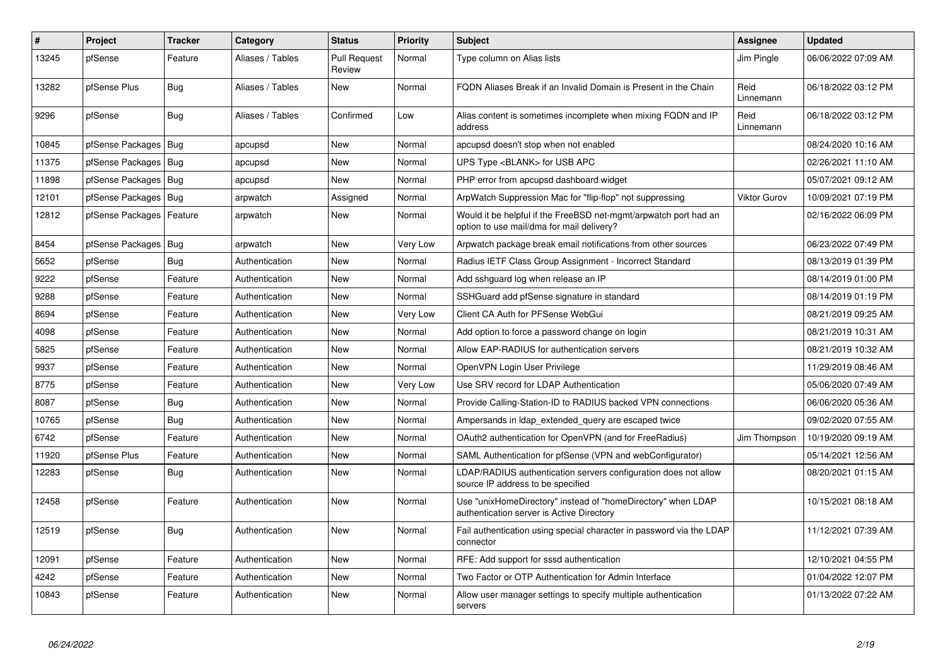| $\sharp$ | Project                | <b>Tracker</b> | Category         | <b>Status</b>                 | <b>Priority</b> | <b>Subject</b>                                                                                                | <b>Assignee</b>     | <b>Updated</b>      |
|----------|------------------------|----------------|------------------|-------------------------------|-----------------|---------------------------------------------------------------------------------------------------------------|---------------------|---------------------|
| 13245    | pfSense                | Feature        | Aliases / Tables | <b>Pull Request</b><br>Review | Normal          | Type column on Alias lists                                                                                    | Jim Pingle          | 06/06/2022 07:09 AM |
| 13282    | pfSense Plus           | Bug            | Aliases / Tables | New                           | Normal          | FQDN Aliases Break if an Invalid Domain is Present in the Chain                                               | Reid<br>Linnemann   | 06/18/2022 03:12 PM |
| 9296     | pfSense                | Bug            | Aliases / Tables | Confirmed                     | Low             | Alias content is sometimes incomplete when mixing FQDN and IP<br>address                                      | Reid<br>Linnemann   | 06/18/2022 03:12 PM |
| 10845    | pfSense Packages       | Bug            | apcupsd          | <b>New</b>                    | Normal          | apcupsd doesn't stop when not enabled                                                                         |                     | 08/24/2020 10:16 AM |
| 11375    | pfSense Packages   Bug |                | apcupsd          | New                           | Normal          | UPS Type <blank> for USB APC</blank>                                                                          |                     | 02/26/2021 11:10 AM |
| 11898    | pfSense Packages   Bug |                | apcupsd          | <b>New</b>                    | Normal          | PHP error from apcupsd dashboard widget                                                                       |                     | 05/07/2021 09:12 AM |
| 12101    | pfSense Packages   Bug |                | arpwatch         | Assigned                      | Normal          | ArpWatch Suppression Mac for "flip-flop" not suppressing                                                      | <b>Viktor Gurov</b> | 10/09/2021 07:19 PM |
| 12812    | pfSense Packages       | Feature        | arpwatch         | New                           | Normal          | Would it be helpful if the FreeBSD net-mgmt/arpwatch port had an<br>option to use mail/dma for mail delivery? |                     | 02/16/2022 06:09 PM |
| 8454     | pfSense Packages   Bug |                | arpwatch         | <b>New</b>                    | Very Low        | Arpwatch package break email notifications from other sources                                                 |                     | 06/23/2022 07:49 PM |
| 5652     | pfSense                | Bug            | Authentication   | New                           | Normal          | Radius IETF Class Group Assignment - Incorrect Standard                                                       |                     | 08/13/2019 01:39 PM |
| 9222     | pfSense                | Feature        | Authentication   | <b>New</b>                    | Normal          | Add sshguard log when release an IP                                                                           |                     | 08/14/2019 01:00 PM |
| 9288     | pfSense                | Feature        | Authentication   | New                           | Normal          | SSHGuard add pfSense signature in standard                                                                    |                     | 08/14/2019 01:19 PM |
| 8694     | pfSense                | Feature        | Authentication   | <b>New</b>                    | Very Low        | Client CA Auth for PFSense WebGui                                                                             |                     | 08/21/2019 09:25 AM |
| 4098     | pfSense                | Feature        | Authentication   | New                           | Normal          | Add option to force a password change on login                                                                |                     | 08/21/2019 10:31 AM |
| 5825     | pfSense                | Feature        | Authentication   | New                           | Normal          | Allow EAP-RADIUS for authentication servers                                                                   |                     | 08/21/2019 10:32 AM |
| 9937     | pfSense                | Feature        | Authentication   | <b>New</b>                    | Normal          | OpenVPN Login User Privilege                                                                                  |                     | 11/29/2019 08:46 AM |
| 8775     | pfSense                | Feature        | Authentication   | <b>New</b>                    | Very Low        | Use SRV record for LDAP Authentication                                                                        |                     | 05/06/2020 07:49 AM |
| 8087     | pfSense                | Bug            | Authentication   | New                           | Normal          | Provide Calling-Station-ID to RADIUS backed VPN connections                                                   |                     | 06/06/2020 05:36 AM |
| 10765    | pfSense                | <b>Bug</b>     | Authentication   | <b>New</b>                    | Normal          | Ampersands in Idap_extended_query are escaped twice                                                           |                     | 09/02/2020 07:55 AM |
| 6742     | pfSense                | Feature        | Authentication   | New                           | Normal          | OAuth2 authentication for OpenVPN (and for FreeRadius)                                                        | Jim Thompson        | 10/19/2020 09:19 AM |
| 11920    | pfSense Plus           | Feature        | Authentication   | New                           | Normal          | SAML Authentication for pfSense (VPN and webConfigurator)                                                     |                     | 05/14/2021 12:56 AM |
| 12283    | pfSense                | Bug            | Authentication   | New                           | Normal          | LDAP/RADIUS authentication servers configuration does not allow<br>source IP address to be specified          |                     | 08/20/2021 01:15 AM |
| 12458    | pfSense                | Feature        | Authentication   | New                           | Normal          | Use "unixHomeDirectory" instead of "homeDirectory" when LDAP<br>authentication server is Active Directory     |                     | 10/15/2021 08:18 AM |
| 12519    | pfSense                | Bug            | Authentication   | <b>New</b>                    | Normal          | Fail authentication using special character in password via the LDAP<br>connector                             |                     | 11/12/2021 07:39 AM |
| 12091    | pfSense                | Feature        | Authentication   | <b>New</b>                    | Normal          | RFE: Add support for sssd authentication                                                                      |                     | 12/10/2021 04:55 PM |
| 4242     | pfSense                | Feature        | Authentication   | New                           | Normal          | Two Factor or OTP Authentication for Admin Interface                                                          |                     | 01/04/2022 12:07 PM |
| 10843    | pfSense                | Feature        | Authentication   | <b>New</b>                    | Normal          | Allow user manager settings to specify multiple authentication<br>servers                                     |                     | 01/13/2022 07:22 AM |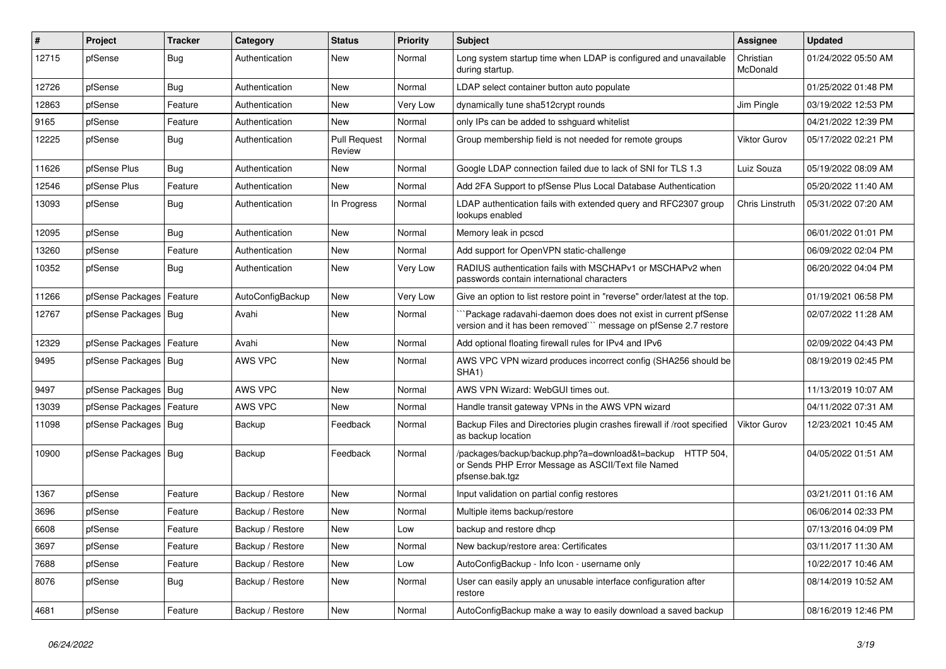| $\vert$ # | Project                | <b>Tracker</b> | Category         | <b>Status</b>                 | <b>Priority</b> | <b>Subject</b>                                                                                                                      | Assignee              | <b>Updated</b>      |
|-----------|------------------------|----------------|------------------|-------------------------------|-----------------|-------------------------------------------------------------------------------------------------------------------------------------|-----------------------|---------------------|
| 12715     | pfSense                | <b>Bug</b>     | Authentication   | New                           | Normal          | Long system startup time when LDAP is configured and unavailable<br>during startup.                                                 | Christian<br>McDonald | 01/24/2022 05:50 AM |
| 12726     | pfSense                | <b>Bug</b>     | Authentication   | <b>New</b>                    | Normal          | LDAP select container button auto populate                                                                                          |                       | 01/25/2022 01:48 PM |
| 12863     | pfSense                | Feature        | Authentication   | New                           | Very Low        | dynamically tune sha512crypt rounds                                                                                                 | Jim Pingle            | 03/19/2022 12:53 PM |
| 9165      | pfSense                | Feature        | Authentication   | <b>New</b>                    | Normal          | only IPs can be added to sshguard whitelist                                                                                         |                       | 04/21/2022 12:39 PM |
| 12225     | pfSense                | <b>Bug</b>     | Authentication   | <b>Pull Request</b><br>Review | Normal          | Group membership field is not needed for remote groups                                                                              | <b>Viktor Gurov</b>   | 05/17/2022 02:21 PM |
| 11626     | pfSense Plus           | <b>Bug</b>     | Authentication   | <b>New</b>                    | Normal          | Google LDAP connection failed due to lack of SNI for TLS 1.3                                                                        | Luiz Souza            | 05/19/2022 08:09 AM |
| 12546     | pfSense Plus           | Feature        | Authentication   | <b>New</b>                    | Normal          | Add 2FA Support to pfSense Plus Local Database Authentication                                                                       |                       | 05/20/2022 11:40 AM |
| 13093     | pfSense                | Bug            | Authentication   | In Progress                   | Normal          | LDAP authentication fails with extended query and RFC2307 group<br>lookups enabled                                                  | Chris Linstruth       | 05/31/2022 07:20 AM |
| 12095     | pfSense                | <b>Bug</b>     | Authentication   | New                           | Normal          | Memory leak in pcscd                                                                                                                |                       | 06/01/2022 01:01 PM |
| 13260     | pfSense                | Feature        | Authentication   | New                           | Normal          | Add support for OpenVPN static-challenge                                                                                            |                       | 06/09/2022 02:04 PM |
| 10352     | pfSense                | <b>Bug</b>     | Authentication   | New                           | Very Low        | RADIUS authentication fails with MSCHAPv1 or MSCHAPv2 when<br>passwords contain international characters                            |                       | 06/20/2022 04:04 PM |
| 11266     | pfSense Packages       | Feature        | AutoConfigBackup | <b>New</b>                    | Very Low        | Give an option to list restore point in "reverse" order/latest at the top.                                                          |                       | 01/19/2021 06:58 PM |
| 12767     | pfSense Packages   Bug |                | Avahi            | <b>New</b>                    | Normal          | Package radavahi-daemon does does not exist in current pfSense<br>version and it has been removed" message on pfSense 2.7 restore   |                       | 02/07/2022 11:28 AM |
| 12329     | pfSense Packages       | Feature        | Avahi            | <b>New</b>                    | Normal          | Add optional floating firewall rules for IPv4 and IPv6                                                                              |                       | 02/09/2022 04:43 PM |
| 9495      | pfSense Packages   Bug |                | AWS VPC          | <b>New</b>                    | Normal          | AWS VPC VPN wizard produces incorrect config (SHA256 should be<br>SHA <sub>1</sub> )                                                |                       | 08/19/2019 02:45 PM |
| 9497      | pfSense Packages   Bug |                | AWS VPC          | <b>New</b>                    | Normal          | AWS VPN Wizard: WebGUI times out.                                                                                                   |                       | 11/13/2019 10:07 AM |
| 13039     | pfSense Packages       | Feature        | AWS VPC          | New                           | Normal          | Handle transit gateway VPNs in the AWS VPN wizard                                                                                   |                       | 04/11/2022 07:31 AM |
| 11098     | pfSense Packages   Bug |                | Backup           | Feedback                      | Normal          | Backup Files and Directories plugin crashes firewall if /root specified<br>as backup location                                       | <b>Viktor Gurov</b>   | 12/23/2021 10:45 AM |
| 10900     | pfSense Packages   Bug |                | Backup           | Feedback                      | Normal          | /packages/backup/backup.php?a=download&t=backup HTTP 504,<br>or Sends PHP Error Message as ASCII/Text file Named<br>pfsense.bak.tgz |                       | 04/05/2022 01:51 AM |
| 1367      | pfSense                | Feature        | Backup / Restore | New                           | Normal          | Input validation on partial config restores                                                                                         |                       | 03/21/2011 01:16 AM |
| 3696      | pfSense                | Feature        | Backup / Restore | <b>New</b>                    | Normal          | Multiple items backup/restore                                                                                                       |                       | 06/06/2014 02:33 PM |
| 6608      | pfSense                | Feature        | Backup / Restore | New                           | Low             | backup and restore dhcp                                                                                                             |                       | 07/13/2016 04:09 PM |
| 3697      | pfSense                | Feature        | Backup / Restore | <b>New</b>                    | Normal          | New backup/restore area: Certificates                                                                                               |                       | 03/11/2017 11:30 AM |
| 7688      | pfSense                | Feature        | Backup / Restore | <b>New</b>                    | Low             | AutoConfigBackup - Info Icon - username only                                                                                        |                       | 10/22/2017 10:46 AM |
| 8076      | pfSense                | Bug            | Backup / Restore | <b>New</b>                    | Normal          | User can easily apply an unusable interface configuration after<br>restore                                                          |                       | 08/14/2019 10:52 AM |
| 4681      | pfSense                | Feature        | Backup / Restore | <b>New</b>                    | Normal          | AutoConfigBackup make a way to easily download a saved backup                                                                       |                       | 08/16/2019 12:46 PM |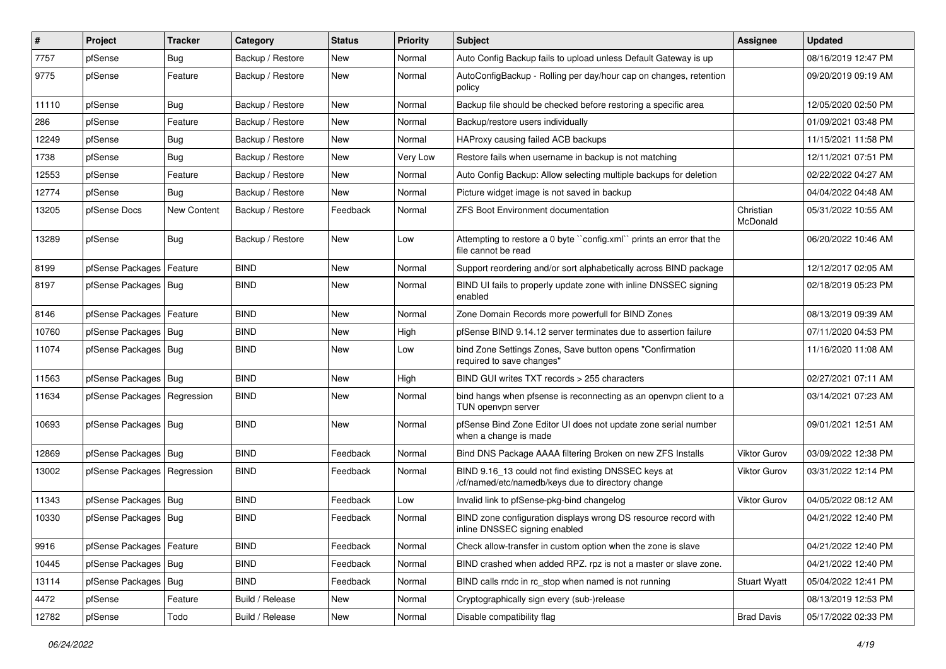| $\vert$ # | Project                       | <b>Tracker</b>     | Category         | <b>Status</b> | <b>Priority</b> | Subject                                                                                                  | Assignee              | <b>Updated</b>      |
|-----------|-------------------------------|--------------------|------------------|---------------|-----------------|----------------------------------------------------------------------------------------------------------|-----------------------|---------------------|
| 7757      | pfSense                       | <b>Bug</b>         | Backup / Restore | New           | Normal          | Auto Config Backup fails to upload unless Default Gateway is up                                          |                       | 08/16/2019 12:47 PM |
| 9775      | pfSense                       | Feature            | Backup / Restore | New           | Normal          | AutoConfigBackup - Rolling per day/hour cap on changes, retention<br>policy                              |                       | 09/20/2019 09:19 AM |
| 11110     | pfSense                       | <b>Bug</b>         | Backup / Restore | <b>New</b>    | Normal          | Backup file should be checked before restoring a specific area                                           |                       | 12/05/2020 02:50 PM |
| 286       | pfSense                       | Feature            | Backup / Restore | New           | Normal          | Backup/restore users individually                                                                        |                       | 01/09/2021 03:48 PM |
| 12249     | pfSense                       | <b>Bug</b>         | Backup / Restore | New           | Normal          | HAProxy causing failed ACB backups                                                                       |                       | 11/15/2021 11:58 PM |
| 1738      | pfSense                       | Bug                | Backup / Restore | New           | Very Low        | Restore fails when username in backup is not matching                                                    |                       | 12/11/2021 07:51 PM |
| 12553     | pfSense                       | Feature            | Backup / Restore | <b>New</b>    | Normal          | Auto Config Backup: Allow selecting multiple backups for deletion                                        |                       | 02/22/2022 04:27 AM |
| 12774     | pfSense                       | Bug                | Backup / Restore | New           | Normal          | Picture widget image is not saved in backup                                                              |                       | 04/04/2022 04:48 AM |
| 13205     | pfSense Docs                  | <b>New Content</b> | Backup / Restore | Feedback      | Normal          | <b>ZFS Boot Environment documentation</b>                                                                | Christian<br>McDonald | 05/31/2022 10:55 AM |
| 13289     | pfSense                       | <b>Bug</b>         | Backup / Restore | New           | Low             | Attempting to restore a 0 byte "config.xml" prints an error that the<br>file cannot be read              |                       | 06/20/2022 10:46 AM |
| 8199      | pfSense Packages   Feature    |                    | <b>BIND</b>      | New           | Normal          | Support reordering and/or sort alphabetically across BIND package                                        |                       | 12/12/2017 02:05 AM |
| 8197      | pfSense Packages   Bug        |                    | <b>BIND</b>      | New           | Normal          | BIND UI fails to properly update zone with inline DNSSEC signing<br>enabled                              |                       | 02/18/2019 05:23 PM |
| 8146      | pfSense Packages   Feature    |                    | <b>BIND</b>      | New           | Normal          | Zone Domain Records more powerfull for BIND Zones                                                        |                       | 08/13/2019 09:39 AM |
| 10760     | pfSense Packages   Bug        |                    | <b>BIND</b>      | <b>New</b>    | High            | pfSense BIND 9.14.12 server terminates due to assertion failure                                          |                       | 07/11/2020 04:53 PM |
| 11074     | pfSense Packages   Bug        |                    | <b>BIND</b>      | New           | Low             | bind Zone Settings Zones, Save button opens "Confirmation"<br>required to save changes"                  |                       | 11/16/2020 11:08 AM |
| 11563     | pfSense Packages   Bug        |                    | <b>BIND</b>      | New           | High            | BIND GUI writes TXT records > 255 characters                                                             |                       | 02/27/2021 07:11 AM |
| 11634     | pfSense Packages   Regression |                    | <b>BIND</b>      | <b>New</b>    | Normal          | bind hangs when pfsense is reconnecting as an openvpn client to a<br>TUN openvpn server                  |                       | 03/14/2021 07:23 AM |
| 10693     | pfSense Packages   Bug        |                    | <b>BIND</b>      | New           | Normal          | pfSense Bind Zone Editor UI does not update zone serial number<br>when a change is made                  |                       | 09/01/2021 12:51 AM |
| 12869     | pfSense Packages   Bug        |                    | <b>BIND</b>      | Feedback      | Normal          | Bind DNS Package AAAA filtering Broken on new ZFS Installs                                               | Viktor Gurov          | 03/09/2022 12:38 PM |
| 13002     | pfSense Packages   Regression |                    | <b>BIND</b>      | Feedback      | Normal          | BIND 9.16_13 could not find existing DNSSEC keys at<br>/cf/named/etc/namedb/keys due to directory change | <b>Viktor Gurov</b>   | 03/31/2022 12:14 PM |
| 11343     | pfSense Packages   Bug        |                    | <b>BIND</b>      | Feedback      | Low             | Invalid link to pfSense-pkg-bind changelog                                                               | <b>Viktor Gurov</b>   | 04/05/2022 08:12 AM |
| 10330     | pfSense Packages   Bug        |                    | <b>BIND</b>      | Feedback      | Normal          | BIND zone configuration displays wrong DS resource record with<br>inline DNSSEC signing enabled          |                       | 04/21/2022 12:40 PM |
| 9916      | pfSense Packages   Feature    |                    | <b>BIND</b>      | Feedback      | Normal          | Check allow-transfer in custom option when the zone is slave                                             |                       | 04/21/2022 12:40 PM |
| 10445     | pfSense Packages   Bug        |                    | <b>BIND</b>      | Feedback      | Normal          | BIND crashed when added RPZ. rpz is not a master or slave zone.                                          |                       | 04/21/2022 12:40 PM |
| 13114     | pfSense Packages   Bug        |                    | <b>BIND</b>      | Feedback      | Normal          | BIND calls rndc in rc_stop when named is not running                                                     | <b>Stuart Wyatt</b>   | 05/04/2022 12:41 PM |
| 4472      | pfSense                       | Feature            | Build / Release  | New           | Normal          | Cryptographically sign every (sub-)release                                                               |                       | 08/13/2019 12:53 PM |
| 12782     | pfSense                       | Todo               | Build / Release  | New           | Normal          | Disable compatibility flag                                                                               | <b>Brad Davis</b>     | 05/17/2022 02:33 PM |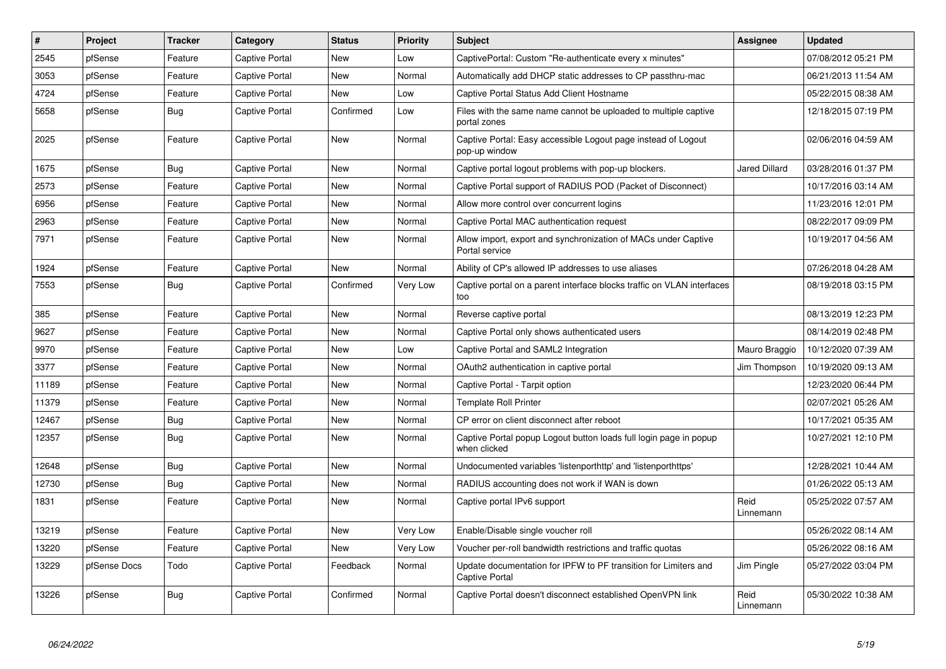| $\vert$ # | Project      | <b>Tracker</b> | Category              | <b>Status</b> | <b>Priority</b> | <b>Subject</b>                                                                           | <b>Assignee</b>   | <b>Updated</b>      |
|-----------|--------------|----------------|-----------------------|---------------|-----------------|------------------------------------------------------------------------------------------|-------------------|---------------------|
| 2545      | pfSense      | Feature        | Captive Portal        | <b>New</b>    | Low             | CaptivePortal: Custom "Re-authenticate every x minutes"                                  |                   | 07/08/2012 05:21 PM |
| 3053      | pfSense      | Feature        | Captive Portal        | <b>New</b>    | Normal          | Automatically add DHCP static addresses to CP passthru-mac                               |                   | 06/21/2013 11:54 AM |
| 4724      | pfSense      | Feature        | <b>Captive Portal</b> | <b>New</b>    | Low             | Captive Portal Status Add Client Hostname                                                |                   | 05/22/2015 08:38 AM |
| 5658      | pfSense      | <b>Bug</b>     | Captive Portal        | Confirmed     | Low             | Files with the same name cannot be uploaded to multiple captive<br>portal zones          |                   | 12/18/2015 07:19 PM |
| 2025      | pfSense      | Feature        | Captive Portal        | <b>New</b>    | Normal          | Captive Portal: Easy accessible Logout page instead of Logout<br>pop-up window           |                   | 02/06/2016 04:59 AM |
| 1675      | pfSense      | <b>Bug</b>     | Captive Portal        | <b>New</b>    | Normal          | Captive portal logout problems with pop-up blockers.                                     | Jared Dillard     | 03/28/2016 01:37 PM |
| 2573      | pfSense      | Feature        | Captive Portal        | New           | Normal          | Captive Portal support of RADIUS POD (Packet of Disconnect)                              |                   | 10/17/2016 03:14 AM |
| 6956      | pfSense      | Feature        | Captive Portal        | New           | Normal          | Allow more control over concurrent logins                                                |                   | 11/23/2016 12:01 PM |
| 2963      | pfSense      | Feature        | Captive Portal        | New           | Normal          | Captive Portal MAC authentication request                                                |                   | 08/22/2017 09:09 PM |
| 7971      | pfSense      | Feature        | Captive Portal        | New           | Normal          | Allow import, export and synchronization of MACs under Captive<br>Portal service         |                   | 10/19/2017 04:56 AM |
| 1924      | pfSense      | Feature        | Captive Portal        | New           | Normal          | Ability of CP's allowed IP addresses to use aliases                                      |                   | 07/26/2018 04:28 AM |
| 7553      | pfSense      | Bug            | Captive Portal        | Confirmed     | Very Low        | Captive portal on a parent interface blocks traffic on VLAN interfaces<br>too            |                   | 08/19/2018 03:15 PM |
| 385       | pfSense      | Feature        | Captive Portal        | New           | Normal          | Reverse captive portal                                                                   |                   | 08/13/2019 12:23 PM |
| 9627      | pfSense      | Feature        | Captive Portal        | <b>New</b>    | Normal          | Captive Portal only shows authenticated users                                            |                   | 08/14/2019 02:48 PM |
| 9970      | pfSense      | Feature        | Captive Portal        | New           | Low             | Captive Portal and SAML2 Integration                                                     | Mauro Braggio     | 10/12/2020 07:39 AM |
| 3377      | pfSense      | Feature        | Captive Portal        | New           | Normal          | OAuth2 authentication in captive portal                                                  | Jim Thompson      | 10/19/2020 09:13 AM |
| 11189     | pfSense      | Feature        | Captive Portal        | New           | Normal          | Captive Portal - Tarpit option                                                           |                   | 12/23/2020 06:44 PM |
| 11379     | pfSense      | Feature        | Captive Portal        | <b>New</b>    | Normal          | <b>Template Roll Printer</b>                                                             |                   | 02/07/2021 05:26 AM |
| 12467     | pfSense      | <b>Bug</b>     | Captive Portal        | <b>New</b>    | Normal          | CP error on client disconnect after reboot                                               |                   | 10/17/2021 05:35 AM |
| 12357     | pfSense      | Bug            | Captive Portal        | New           | Normal          | Captive Portal popup Logout button loads full login page in popup<br>when clicked        |                   | 10/27/2021 12:10 PM |
| 12648     | pfSense      | Bug            | Captive Portal        | <b>New</b>    | Normal          | Undocumented variables 'listenporthttp' and 'listenporthttps'                            |                   | 12/28/2021 10:44 AM |
| 12730     | pfSense      | Bug            | Captive Portal        | <b>New</b>    | Normal          | RADIUS accounting does not work if WAN is down                                           |                   | 01/26/2022 05:13 AM |
| 1831      | pfSense      | Feature        | Captive Portal        | <b>New</b>    | Normal          | Captive portal IPv6 support                                                              | Reid<br>Linnemann | 05/25/2022 07:57 AM |
| 13219     | pfSense      | Feature        | Captive Portal        | <b>New</b>    | Very Low        | Enable/Disable single voucher roll                                                       |                   | 05/26/2022 08:14 AM |
| 13220     | pfSense      | Feature        | <b>Captive Portal</b> | <b>New</b>    | Very Low        | Voucher per-roll bandwidth restrictions and traffic quotas                               |                   | 05/26/2022 08:16 AM |
| 13229     | pfSense Docs | Todo           | Captive Portal        | Feedback      | Normal          | Update documentation for IPFW to PF transition for Limiters and<br><b>Captive Portal</b> | Jim Pingle        | 05/27/2022 03:04 PM |
| 13226     | pfSense      | Bug            | <b>Captive Portal</b> | Confirmed     | Normal          | Captive Portal doesn't disconnect established OpenVPN link                               | Reid<br>Linnemann | 05/30/2022 10:38 AM |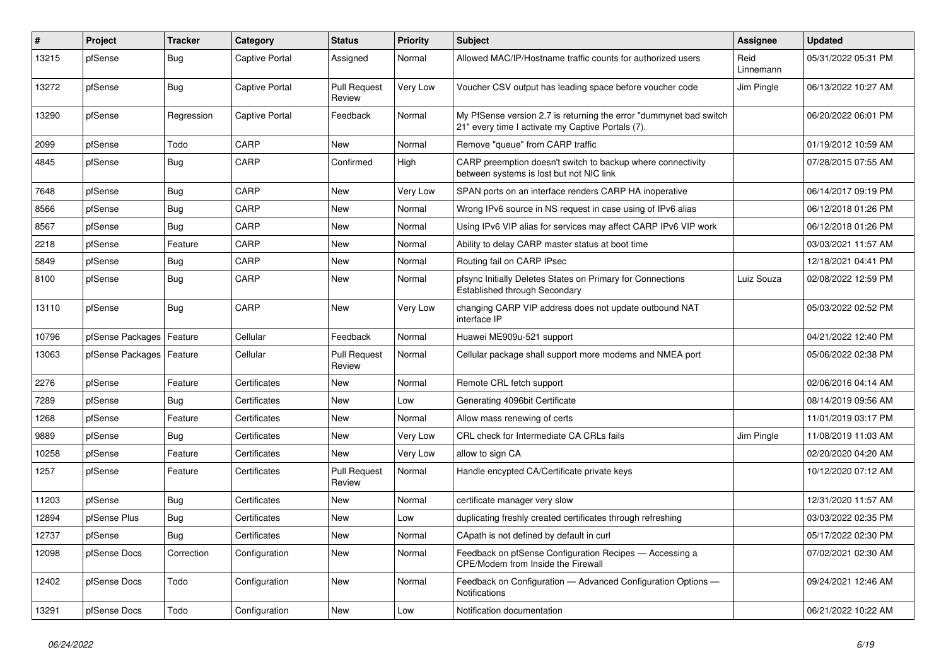| #     | Project                    | <b>Tracker</b> | Category       | <b>Status</b>                 | <b>Priority</b> | <b>Subject</b>                                                                                                          | <b>Assignee</b>   | <b>Updated</b>      |
|-------|----------------------------|----------------|----------------|-------------------------------|-----------------|-------------------------------------------------------------------------------------------------------------------------|-------------------|---------------------|
| 13215 | pfSense                    | <b>Bug</b>     | Captive Portal | Assigned                      | Normal          | Allowed MAC/IP/Hostname traffic counts for authorized users                                                             | Reid<br>Linnemann | 05/31/2022 05:31 PM |
| 13272 | pfSense                    | <b>Bug</b>     | Captive Portal | <b>Pull Request</b><br>Review | Very Low        | Voucher CSV output has leading space before voucher code                                                                | Jim Pingle        | 06/13/2022 10:27 AM |
| 13290 | pfSense                    | Regression     | Captive Portal | Feedback                      | Normal          | My PfSense version 2.7 is returning the error "dummynet bad switch<br>21" every time I activate my Captive Portals (7). |                   | 06/20/2022 06:01 PM |
| 2099  | pfSense                    | Todo           | CARP           | <b>New</b>                    | Normal          | Remove "queue" from CARP traffic                                                                                        |                   | 01/19/2012 10:59 AM |
| 4845  | pfSense                    | <b>Bug</b>     | CARP           | Confirmed                     | High            | CARP preemption doesn't switch to backup where connectivity<br>between systems is lost but not NIC link                 |                   | 07/28/2015 07:55 AM |
| 7648  | pfSense                    | <b>Bug</b>     | CARP           | <b>New</b>                    | Very Low        | SPAN ports on an interface renders CARP HA inoperative                                                                  |                   | 06/14/2017 09:19 PM |
| 8566  | pfSense                    | <b>Bug</b>     | CARP           | <b>New</b>                    | Normal          | Wrong IPv6 source in NS request in case using of IPv6 alias                                                             |                   | 06/12/2018 01:26 PM |
| 8567  | pfSense                    | <b>Bug</b>     | CARP           | <b>New</b>                    | Normal          | Using IPv6 VIP alias for services may affect CARP IPv6 VIP work                                                         |                   | 06/12/2018 01:26 PM |
| 2218  | pfSense                    | Feature        | CARP           | <b>New</b>                    | Normal          | Ability to delay CARP master status at boot time                                                                        |                   | 03/03/2021 11:57 AM |
| 5849  | pfSense                    | <b>Bug</b>     | CARP           | <b>New</b>                    | Normal          | Routing fail on CARP IPsec                                                                                              |                   | 12/18/2021 04:41 PM |
| 8100  | pfSense                    | <b>Bug</b>     | CARP           | <b>New</b>                    | Normal          | pfsync Initially Deletes States on Primary for Connections<br><b>Established through Secondary</b>                      | Luiz Souza        | 02/08/2022 12:59 PM |
| 13110 | pfSense                    | Bug            | CARP           | New                           | Very Low        | changing CARP VIP address does not update outbound NAT<br>interface IP                                                  |                   | 05/03/2022 02:52 PM |
| 10796 | pfSense Packages           | Feature        | Cellular       | Feedback                      | Normal          | Huawei ME909u-521 support                                                                                               |                   | 04/21/2022 12:40 PM |
| 13063 | pfSense Packages   Feature |                | Cellular       | <b>Pull Request</b><br>Review | Normal          | Cellular package shall support more modems and NMEA port                                                                |                   | 05/06/2022 02:38 PM |
| 2276  | pfSense                    | Feature        | Certificates   | <b>New</b>                    | Normal          | Remote CRL fetch support                                                                                                |                   | 02/06/2016 04:14 AM |
| 7289  | pfSense                    | <b>Bug</b>     | Certificates   | <b>New</b>                    | Low             | Generating 4096bit Certificate                                                                                          |                   | 08/14/2019 09:56 AM |
| 1268  | pfSense                    | Feature        | Certificates   | <b>New</b>                    | Normal          | Allow mass renewing of certs                                                                                            |                   | 11/01/2019 03:17 PM |
| 9889  | pfSense                    | Bug            | Certificates   | New                           | Very Low        | CRL check for Intermediate CA CRLs fails                                                                                | Jim Pingle        | 11/08/2019 11:03 AM |
| 10258 | pfSense                    | Feature        | Certificates   | <b>New</b>                    | Very Low        | allow to sign CA                                                                                                        |                   | 02/20/2020 04:20 AM |
| 1257  | pfSense                    | Feature        | Certificates   | <b>Pull Request</b><br>Review | Normal          | Handle encypted CA/Certificate private keys                                                                             |                   | 10/12/2020 07:12 AM |
| 11203 | pfSense                    | <b>Bug</b>     | Certificates   | New                           | Normal          | certificate manager very slow                                                                                           |                   | 12/31/2020 11:57 AM |
| 12894 | pfSense Plus               | <b>Bug</b>     | Certificates   | <b>New</b>                    | Low             | duplicating freshly created certificates through refreshing                                                             |                   | 03/03/2022 02:35 PM |
| 12737 | pfSense                    | Bug            | Certificates   | <b>New</b>                    | Normal          | CApath is not defined by default in curl                                                                                |                   | 05/17/2022 02:30 PM |
| 12098 | pfSense Docs               | Correction     | Configuration  | <b>New</b>                    | Normal          | Feedback on pfSense Configuration Recipes - Accessing a<br>CPE/Modem from Inside the Firewall                           |                   | 07/02/2021 02:30 AM |
| 12402 | pfSense Docs               | Todo           | Configuration  | <b>New</b>                    | Normal          | Feedback on Configuration - Advanced Configuration Options -<br>Notifications                                           |                   | 09/24/2021 12:46 AM |
| 13291 | pfSense Docs               | Todo           | Configuration  | <b>New</b>                    | Low             | Notification documentation                                                                                              |                   | 06/21/2022 10:22 AM |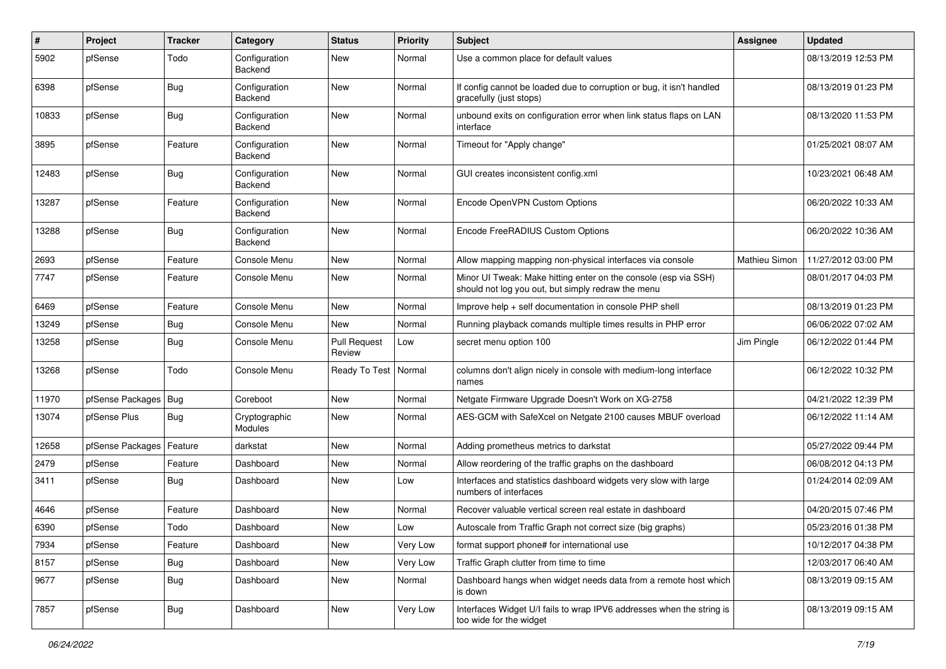| $\#$  | Project          | <b>Tracker</b> | Category                        | <b>Status</b>                 | <b>Priority</b> | Subject                                                                                                               | Assignee             | <b>Updated</b>      |
|-------|------------------|----------------|---------------------------------|-------------------------------|-----------------|-----------------------------------------------------------------------------------------------------------------------|----------------------|---------------------|
| 5902  | pfSense          | Todo           | Configuration<br>Backend        | <b>New</b>                    | Normal          | Use a common place for default values                                                                                 |                      | 08/13/2019 12:53 PM |
| 6398  | pfSense          | Bug            | Configuration<br>Backend        | <b>New</b>                    | Normal          | If config cannot be loaded due to corruption or bug, it isn't handled<br>gracefully (just stops)                      |                      | 08/13/2019 01:23 PM |
| 10833 | pfSense          | Bug            | Configuration<br>Backend        | <b>New</b>                    | Normal          | unbound exits on configuration error when link status flaps on LAN<br>interface                                       |                      | 08/13/2020 11:53 PM |
| 3895  | pfSense          | Feature        | Configuration<br>Backend        | <b>New</b>                    | Normal          | Timeout for "Apply change"                                                                                            |                      | 01/25/2021 08:07 AM |
| 12483 | pfSense          | Bug            | Configuration<br><b>Backend</b> | <b>New</b>                    | Normal          | GUI creates inconsistent config.xml                                                                                   |                      | 10/23/2021 06:48 AM |
| 13287 | pfSense          | Feature        | Configuration<br>Backend        | <b>New</b>                    | Normal          | Encode OpenVPN Custom Options                                                                                         |                      | 06/20/2022 10:33 AM |
| 13288 | pfSense          | Bug            | Configuration<br>Backend        | <b>New</b>                    | Normal          | Encode FreeRADIUS Custom Options                                                                                      |                      | 06/20/2022 10:36 AM |
| 2693  | pfSense          | Feature        | Console Menu                    | <b>New</b>                    | Normal          | Allow mapping mapping non-physical interfaces via console                                                             | <b>Mathieu Simon</b> | 11/27/2012 03:00 PM |
| 7747  | pfSense          | Feature        | Console Menu                    | New                           | Normal          | Minor UI Tweak: Make hitting enter on the console (esp via SSH)<br>should not log you out, but simply redraw the menu |                      | 08/01/2017 04:03 PM |
| 6469  | pfSense          | Feature        | Console Menu                    | <b>New</b>                    | Normal          | Improve help + self documentation in console PHP shell                                                                |                      | 08/13/2019 01:23 PM |
| 13249 | pfSense          | Bug            | Console Menu                    | <b>New</b>                    | Normal          | Running playback comands multiple times results in PHP error                                                          |                      | 06/06/2022 07:02 AM |
| 13258 | pfSense          | <b>Bug</b>     | Console Menu                    | <b>Pull Request</b><br>Review | Low             | secret menu option 100                                                                                                | Jim Pingle           | 06/12/2022 01:44 PM |
| 13268 | pfSense          | Todo           | Console Menu                    | Ready To Test                 | Normal          | columns don't align nicely in console with medium-long interface<br>names                                             |                      | 06/12/2022 10:32 PM |
| 11970 | pfSense Packages | Bug            | Coreboot                        | <b>New</b>                    | Normal          | Netgate Firmware Upgrade Doesn't Work on XG-2758                                                                      |                      | 04/21/2022 12:39 PM |
| 13074 | pfSense Plus     | Bug            | Cryptographic<br>Modules        | New                           | Normal          | AES-GCM with SafeXcel on Netgate 2100 causes MBUF overload                                                            |                      | 06/12/2022 11:14 AM |
| 12658 | pfSense Packages | Feature        | darkstat                        | <b>New</b>                    | Normal          | Adding prometheus metrics to darkstat                                                                                 |                      | 05/27/2022 09:44 PM |
| 2479  | pfSense          | Feature        | Dashboard                       | <b>New</b>                    | Normal          | Allow reordering of the traffic graphs on the dashboard                                                               |                      | 06/08/2012 04:13 PM |
| 3411  | pfSense          | <b>Bug</b>     | Dashboard                       | New                           | Low             | Interfaces and statistics dashboard widgets very slow with large<br>numbers of interfaces                             |                      | 01/24/2014 02:09 AM |
| 4646  | pfSense          | Feature        | Dashboard                       | <b>New</b>                    | Normal          | Recover valuable vertical screen real estate in dashboard                                                             |                      | 04/20/2015 07:46 PM |
| 6390  | pfSense          | Todo           | Dashboard                       | <b>New</b>                    | Low             | Autoscale from Traffic Graph not correct size (big graphs)                                                            |                      | 05/23/2016 01:38 PM |
| 7934  | pfSense          | Feature        | Dashboard                       | New                           | Very Low        | format support phone# for international use                                                                           |                      | 10/12/2017 04:38 PM |
| 8157  | pfSense          | <b>Bug</b>     | Dashboard                       | New                           | Very Low        | Traffic Graph clutter from time to time                                                                               |                      | 12/03/2017 06:40 AM |
| 9677  | pfSense          | <b>Bug</b>     | Dashboard                       | New                           | Normal          | Dashboard hangs when widget needs data from a remote host which<br>is down                                            |                      | 08/13/2019 09:15 AM |
| 7857  | pfSense          | <b>Bug</b>     | Dashboard                       | New                           | Very Low        | Interfaces Widget U/I fails to wrap IPV6 addresses when the string is<br>too wide for the widget                      |                      | 08/13/2019 09:15 AM |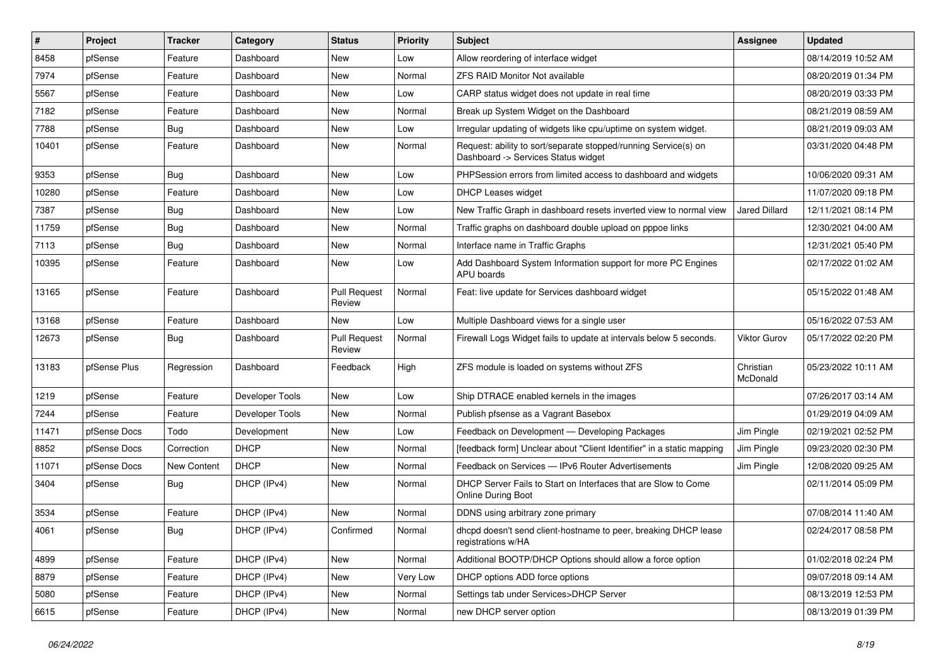| $\vert$ # | Project      | Tracker     | Category        | <b>Status</b>                 | <b>Priority</b> | <b>Subject</b>                                                                                         | <b>Assignee</b>       | <b>Updated</b>      |
|-----------|--------------|-------------|-----------------|-------------------------------|-----------------|--------------------------------------------------------------------------------------------------------|-----------------------|---------------------|
| 8458      | pfSense      | Feature     | Dashboard       | New                           | Low             | Allow reordering of interface widget                                                                   |                       | 08/14/2019 10:52 AM |
| 7974      | pfSense      | Feature     | Dashboard       | <b>New</b>                    | Normal          | <b>ZFS RAID Monitor Not available</b>                                                                  |                       | 08/20/2019 01:34 PM |
| 5567      | pfSense      | Feature     | Dashboard       | New                           | Low             | CARP status widget does not update in real time                                                        |                       | 08/20/2019 03:33 PM |
| 7182      | pfSense      | Feature     | Dashboard       | <b>New</b>                    | Normal          | Break up System Widget on the Dashboard                                                                |                       | 08/21/2019 08:59 AM |
| 7788      | pfSense      | Bug         | Dashboard       | <b>New</b>                    | Low             | Irregular updating of widgets like cpu/uptime on system widget.                                        |                       | 08/21/2019 09:03 AM |
| 10401     | pfSense      | Feature     | Dashboard       | New                           | Normal          | Request: ability to sort/separate stopped/running Service(s) on<br>Dashboard -> Services Status widget |                       | 03/31/2020 04:48 PM |
| 9353      | pfSense      | Bug         | Dashboard       | New                           | Low             | PHPSession errors from limited access to dashboard and widgets                                         |                       | 10/06/2020 09:31 AM |
| 10280     | pfSense      | Feature     | Dashboard       | <b>New</b>                    | Low             | DHCP Leases widget                                                                                     |                       | 11/07/2020 09:18 PM |
| 7387      | pfSense      | Bug         | Dashboard       | New                           | Low             | New Traffic Graph in dashboard resets inverted view to normal view                                     | <b>Jared Dillard</b>  | 12/11/2021 08:14 PM |
| 11759     | pfSense      | <b>Bug</b>  | Dashboard       | New                           | Normal          | Traffic graphs on dashboard double upload on pppoe links                                               |                       | 12/30/2021 04:00 AM |
| 7113      | pfSense      | <b>Bug</b>  | Dashboard       | New                           | Normal          | Interface name in Traffic Graphs                                                                       |                       | 12/31/2021 05:40 PM |
| 10395     | pfSense      | Feature     | Dashboard       | New                           | Low             | Add Dashboard System Information support for more PC Engines<br>APU boards                             |                       | 02/17/2022 01:02 AM |
| 13165     | pfSense      | Feature     | Dashboard       | <b>Pull Request</b><br>Review | Normal          | Feat: live update for Services dashboard widget                                                        |                       | 05/15/2022 01:48 AM |
| 13168     | pfSense      | Feature     | Dashboard       | <b>New</b>                    | Low             | Multiple Dashboard views for a single user                                                             |                       | 05/16/2022 07:53 AM |
| 12673     | pfSense      | Bug         | Dashboard       | <b>Pull Request</b><br>Review | Normal          | Firewall Logs Widget fails to update at intervals below 5 seconds.                                     | <b>Viktor Gurov</b>   | 05/17/2022 02:20 PM |
| 13183     | pfSense Plus | Regression  | Dashboard       | Feedback                      | High            | ZFS module is loaded on systems without ZFS                                                            | Christian<br>McDonald | 05/23/2022 10:11 AM |
| 1219      | pfSense      | Feature     | Developer Tools | <b>New</b>                    | Low             | Ship DTRACE enabled kernels in the images                                                              |                       | 07/26/2017 03:14 AM |
| 7244      | pfSense      | Feature     | Developer Tools | New                           | Normal          | Publish pfsense as a Vagrant Basebox                                                                   |                       | 01/29/2019 04:09 AM |
| 11471     | pfSense Docs | Todo        | Development     | <b>New</b>                    | Low             | Feedback on Development - Developing Packages                                                          | Jim Pingle            | 02/19/2021 02:52 PM |
| 8852      | pfSense Docs | Correction  | <b>DHCP</b>     | <b>New</b>                    | Normal          | [feedback form] Unclear about "Client Identifier" in a static mapping                                  | Jim Pingle            | 09/23/2020 02:30 PM |
| 11071     | pfSense Docs | New Content | <b>DHCP</b>     | New                           | Normal          | Feedback on Services - IPv6 Router Advertisements                                                      | Jim Pingle            | 12/08/2020 09:25 AM |
| 3404      | pfSense      | <b>Bug</b>  | DHCP (IPv4)     | New                           | Normal          | DHCP Server Fails to Start on Interfaces that are Slow to Come<br>Online During Boot                   |                       | 02/11/2014 05:09 PM |
| 3534      | pfSense      | Feature     | DHCP (IPv4)     | <b>New</b>                    | Normal          | DDNS using arbitrary zone primary                                                                      |                       | 07/08/2014 11:40 AM |
| 4061      | pfSense      | Bug         | DHCP (IPv4)     | Confirmed                     | Normal          | dhcpd doesn't send client-hostname to peer, breaking DHCP lease<br>registrations w/HA                  |                       | 02/24/2017 08:58 PM |
| 4899      | pfSense      | Feature     | DHCP (IPv4)     | New                           | Normal          | Additional BOOTP/DHCP Options should allow a force option                                              |                       | 01/02/2018 02:24 PM |
| 8879      | pfSense      | Feature     | DHCP (IPv4)     | New                           | Very Low        | DHCP options ADD force options                                                                         |                       | 09/07/2018 09:14 AM |
| 5080      | pfSense      | Feature     | DHCP (IPv4)     | New                           | Normal          | Settings tab under Services>DHCP Server                                                                |                       | 08/13/2019 12:53 PM |
| 6615      | pfSense      | Feature     | DHCP (IPv4)     | New                           | Normal          | new DHCP server option                                                                                 |                       | 08/13/2019 01:39 PM |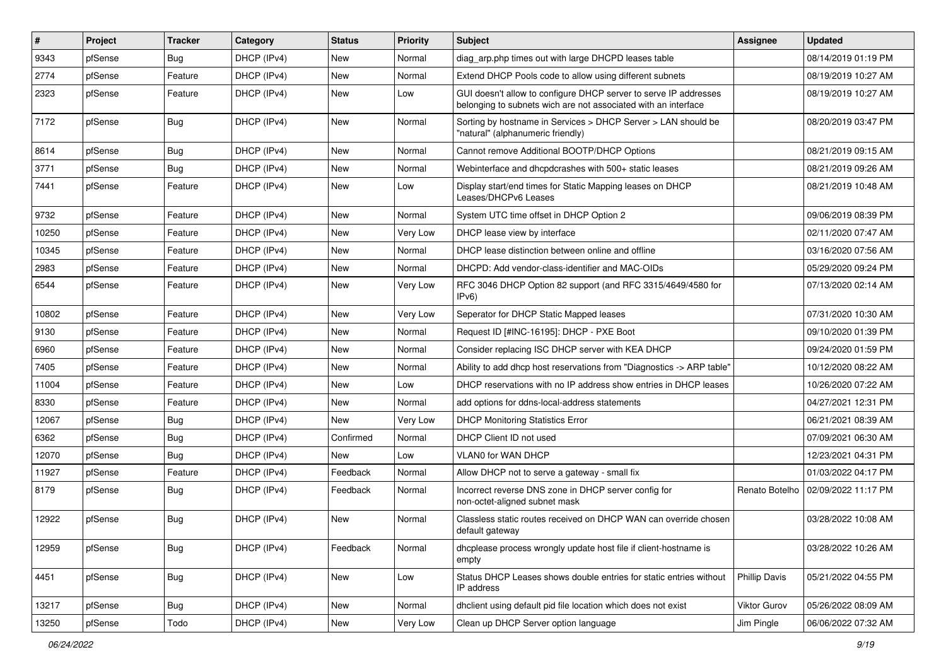| $\vert$ # | Project | <b>Tracker</b> | Category    | <b>Status</b> | <b>Priority</b> | Subject                                                                                                                            | <b>Assignee</b>      | <b>Updated</b>      |
|-----------|---------|----------------|-------------|---------------|-----------------|------------------------------------------------------------------------------------------------------------------------------------|----------------------|---------------------|
| 9343      | pfSense | <b>Bug</b>     | DHCP (IPv4) | New           | Normal          | diag arp.php times out with large DHCPD leases table                                                                               |                      | 08/14/2019 01:19 PM |
| 2774      | pfSense | Feature        | DHCP (IPv4) | <b>New</b>    | Normal          | Extend DHCP Pools code to allow using different subnets                                                                            |                      | 08/19/2019 10:27 AM |
| 2323      | pfSense | Feature        | DHCP (IPv4) | New           | Low             | GUI doesn't allow to configure DHCP server to serve IP addresses<br>belonging to subnets wich are not associated with an interface |                      | 08/19/2019 10:27 AM |
| 7172      | pfSense | <b>Bug</b>     | DHCP (IPv4) | <b>New</b>    | Normal          | Sorting by hostname in Services > DHCP Server > LAN should be<br>"natural" (alphanumeric friendly)                                 |                      | 08/20/2019 03:47 PM |
| 8614      | pfSense | <b>Bug</b>     | DHCP (IPv4) | <b>New</b>    | Normal          | Cannot remove Additional BOOTP/DHCP Options                                                                                        |                      | 08/21/2019 09:15 AM |
| 3771      | pfSense | <b>Bug</b>     | DHCP (IPv4) | <b>New</b>    | Normal          | Webinterface and dhcpdcrashes with 500+ static leases                                                                              |                      | 08/21/2019 09:26 AM |
| 7441      | pfSense | Feature        | DHCP (IPv4) | New           | Low             | Display start/end times for Static Mapping leases on DHCP<br>Leases/DHCPv6 Leases                                                  |                      | 08/21/2019 10:48 AM |
| 9732      | pfSense | Feature        | DHCP (IPv4) | New           | Normal          | System UTC time offset in DHCP Option 2                                                                                            |                      | 09/06/2019 08:39 PM |
| 10250     | pfSense | Feature        | DHCP (IPv4) | New           | Very Low        | DHCP lease view by interface                                                                                                       |                      | 02/11/2020 07:47 AM |
| 10345     | pfSense | Feature        | DHCP (IPv4) | <b>New</b>    | Normal          | DHCP lease distinction between online and offline                                                                                  |                      | 03/16/2020 07:56 AM |
| 2983      | pfSense | Feature        | DHCP (IPv4) | New           | Normal          | DHCPD: Add vendor-class-identifier and MAC-OIDs                                                                                    |                      | 05/29/2020 09:24 PM |
| 6544      | pfSense | Feature        | DHCP (IPv4) | New           | Very Low        | RFC 3046 DHCP Option 82 support (and RFC 3315/4649/4580 for<br>IPv6                                                                |                      | 07/13/2020 02:14 AM |
| 10802     | pfSense | Feature        | DHCP (IPv4) | New           | Very Low        | Seperator for DHCP Static Mapped leases                                                                                            |                      | 07/31/2020 10:30 AM |
| 9130      | pfSense | Feature        | DHCP (IPv4) | <b>New</b>    | Normal          | Request ID [#INC-16195]: DHCP - PXE Boot                                                                                           |                      | 09/10/2020 01:39 PM |
| 6960      | pfSense | Feature        | DHCP (IPv4) | New           | Normal          | Consider replacing ISC DHCP server with KEA DHCP                                                                                   |                      | 09/24/2020 01:59 PM |
| 7405      | pfSense | Feature        | DHCP (IPv4) | <b>New</b>    | Normal          | Ability to add dhcp host reservations from "Diagnostics -> ARP table"                                                              |                      | 10/12/2020 08:22 AM |
| 11004     | pfSense | Feature        | DHCP (IPv4) | <b>New</b>    | Low             | DHCP reservations with no IP address show entries in DHCP leases                                                                   |                      | 10/26/2020 07:22 AM |
| 8330      | pfSense | Feature        | DHCP (IPv4) | New           | Normal          | add options for ddns-local-address statements                                                                                      |                      | 04/27/2021 12:31 PM |
| 12067     | pfSense | <b>Bug</b>     | DHCP (IPv4) | New           | Very Low        | <b>DHCP Monitoring Statistics Error</b>                                                                                            |                      | 06/21/2021 08:39 AM |
| 6362      | pfSense | <b>Bug</b>     | DHCP (IPv4) | Confirmed     | Normal          | DHCP Client ID not used                                                                                                            |                      | 07/09/2021 06:30 AM |
| 12070     | pfSense | Bug            | DHCP (IPv4) | New           | Low             | VLAN0 for WAN DHCP                                                                                                                 |                      | 12/23/2021 04:31 PM |
| 11927     | pfSense | Feature        | DHCP (IPv4) | Feedback      | Normal          | Allow DHCP not to serve a gateway - small fix                                                                                      |                      | 01/03/2022 04:17 PM |
| 8179      | pfSense | <b>Bug</b>     | DHCP (IPv4) | Feedback      | Normal          | Incorrect reverse DNS zone in DHCP server config for<br>non-octet-aligned subnet mask                                              | Renato Botelho       | 02/09/2022 11:17 PM |
| 12922     | pfSense | <b>Bug</b>     | DHCP (IPv4) | New           | Normal          | Classless static routes received on DHCP WAN can override chosen<br>default gateway                                                |                      | 03/28/2022 10:08 AM |
| 12959     | pfSense | <b>Bug</b>     | DHCP (IPv4) | Feedback      | Normal          | dhcplease process wrongly update host file if client-hostname is<br>empty                                                          |                      | 03/28/2022 10:26 AM |
| 4451      | pfSense | <b>Bug</b>     | DHCP (IPv4) | New           | Low             | Status DHCP Leases shows double entries for static entries without<br>IP address                                                   | <b>Phillip Davis</b> | 05/21/2022 04:55 PM |
| 13217     | pfSense | <b>Bug</b>     | DHCP (IPv4) | New           | Normal          | dhclient using default pid file location which does not exist                                                                      | Viktor Gurov         | 05/26/2022 08:09 AM |
| 13250     | pfSense | Todo           | DHCP (IPv4) | New           | Very Low        | Clean up DHCP Server option language                                                                                               | Jim Pingle           | 06/06/2022 07:32 AM |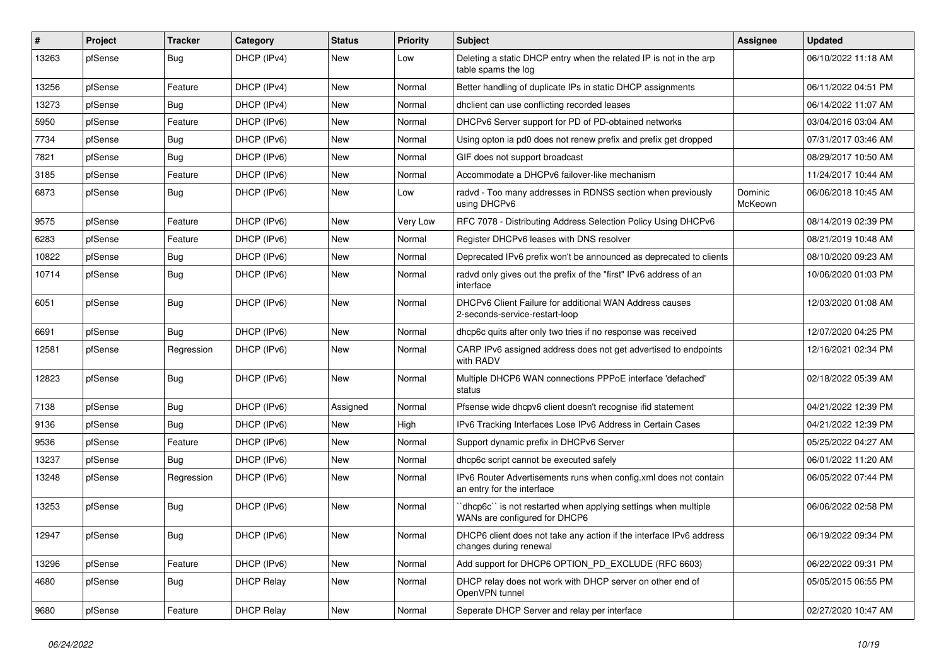| $\vert$ # | Project | <b>Tracker</b> | Category          | <b>Status</b> | <b>Priority</b> | <b>Subject</b>                                                                                  | <b>Assignee</b>    | <b>Updated</b>      |
|-----------|---------|----------------|-------------------|---------------|-----------------|-------------------------------------------------------------------------------------------------|--------------------|---------------------|
| 13263     | pfSense | <b>Bug</b>     | DHCP (IPv4)       | New           | Low             | Deleting a static DHCP entry when the related IP is not in the arp<br>table spams the log       |                    | 06/10/2022 11:18 AM |
| 13256     | pfSense | Feature        | DHCP (IPv4)       | New           | Normal          | Better handling of duplicate IPs in static DHCP assignments                                     |                    | 06/11/2022 04:51 PM |
| 13273     | pfSense | <b>Bug</b>     | DHCP (IPv4)       | <b>New</b>    | Normal          | dhclient can use conflicting recorded leases                                                    |                    | 06/14/2022 11:07 AM |
| 5950      | pfSense | Feature        | DHCP (IPv6)       | New           | Normal          | DHCPv6 Server support for PD of PD-obtained networks                                            |                    | 03/04/2016 03:04 AM |
| 7734      | pfSense | <b>Bug</b>     | DHCP (IPv6)       | New           | Normal          | Using opton ia pd0 does not renew prefix and prefix get dropped                                 |                    | 07/31/2017 03:46 AM |
| 7821      | pfSense | <b>Bug</b>     | DHCP (IPv6)       | New           | Normal          | GIF does not support broadcast                                                                  |                    | 08/29/2017 10:50 AM |
| 3185      | pfSense | Feature        | DHCP (IPv6)       | New           | Normal          | Accommodate a DHCPv6 failover-like mechanism                                                    |                    | 11/24/2017 10:44 AM |
| 6873      | pfSense | <b>Bug</b>     | DHCP (IPv6)       | <b>New</b>    | Low             | radvd - Too many addresses in RDNSS section when previously<br>using DHCPv6                     | Dominic<br>McKeown | 06/06/2018 10:45 AM |
| 9575      | pfSense | Feature        | DHCP (IPv6)       | New           | Very Low        | RFC 7078 - Distributing Address Selection Policy Using DHCPv6                                   |                    | 08/14/2019 02:39 PM |
| 6283      | pfSense | Feature        | DHCP (IPv6)       | New           | Normal          | Register DHCPv6 leases with DNS resolver                                                        |                    | 08/21/2019 10:48 AM |
| 10822     | pfSense | <b>Bug</b>     | DHCP (IPv6)       | New           | Normal          | Deprecated IPv6 prefix won't be announced as deprecated to clients                              |                    | 08/10/2020 09:23 AM |
| 10714     | pfSense | Bug            | DHCP (IPv6)       | New           | Normal          | radvd only gives out the prefix of the "first" IPv6 address of an<br>interface                  |                    | 10/06/2020 01:03 PM |
| 6051      | pfSense | Bug            | DHCP (IPv6)       | <b>New</b>    | Normal          | DHCPv6 Client Failure for additional WAN Address causes<br>2-seconds-service-restart-loop       |                    | 12/03/2020 01:08 AM |
| 6691      | pfSense | Bug            | DHCP (IPv6)       | <b>New</b>    | Normal          | dhcp6c quits after only two tries if no response was received                                   |                    | 12/07/2020 04:25 PM |
| 12581     | pfSense | Regression     | DHCP (IPv6)       | New           | Normal          | CARP IPv6 assigned address does not get advertised to endpoints<br>with RADV                    |                    | 12/16/2021 02:34 PM |
| 12823     | pfSense | <b>Bug</b>     | DHCP (IPv6)       | <b>New</b>    | Normal          | Multiple DHCP6 WAN connections PPPoE interface 'defached'<br>status                             |                    | 02/18/2022 05:39 AM |
| 7138      | pfSense | <b>Bug</b>     | DHCP (IPv6)       | Assigned      | Normal          | Pfsense wide dhcpv6 client doesn't recognise if id statement                                    |                    | 04/21/2022 12:39 PM |
| 9136      | pfSense | <b>Bug</b>     | DHCP (IPv6)       | New           | High            | IPv6 Tracking Interfaces Lose IPv6 Address in Certain Cases                                     |                    | 04/21/2022 12:39 PM |
| 9536      | pfSense | Feature        | DHCP (IPv6)       | New           | Normal          | Support dynamic prefix in DHCPv6 Server                                                         |                    | 05/25/2022 04:27 AM |
| 13237     | pfSense | <b>Bug</b>     | DHCP (IPv6)       | New           | Normal          | dhcp6c script cannot be executed safely                                                         |                    | 06/01/2022 11:20 AM |
| 13248     | pfSense | Regression     | DHCP (IPv6)       | New           | Normal          | IPv6 Router Advertisements runs when config.xml does not contain<br>an entry for the interface  |                    | 06/05/2022 07:44 PM |
| 13253     | pfSense | <b>Bug</b>     | DHCP (IPv6)       | <b>New</b>    | Normal          | 'dhcp6c' is not restarted when applying settings when multiple<br>WANs are configured for DHCP6 |                    | 06/06/2022 02:58 PM |
| 12947     | pfSense | <b>Bug</b>     | DHCP (IPv6)       | New           | Normal          | DHCP6 client does not take any action if the interface IPv6 address<br>changes during renewal   |                    | 06/19/2022 09:34 PM |
| 13296     | pfSense | Feature        | DHCP (IPv6)       | New           | Normal          | Add support for DHCP6 OPTION_PD_EXCLUDE (RFC 6603)                                              |                    | 06/22/2022 09:31 PM |
| 4680      | pfSense | <b>Bug</b>     | <b>DHCP Relay</b> | New           | Normal          | DHCP relay does not work with DHCP server on other end of<br>OpenVPN tunnel                     |                    | 05/05/2015 06:55 PM |
| 9680      | pfSense | Feature        | <b>DHCP Relay</b> | New           | Normal          | Seperate DHCP Server and relay per interface                                                    |                    | 02/27/2020 10:47 AM |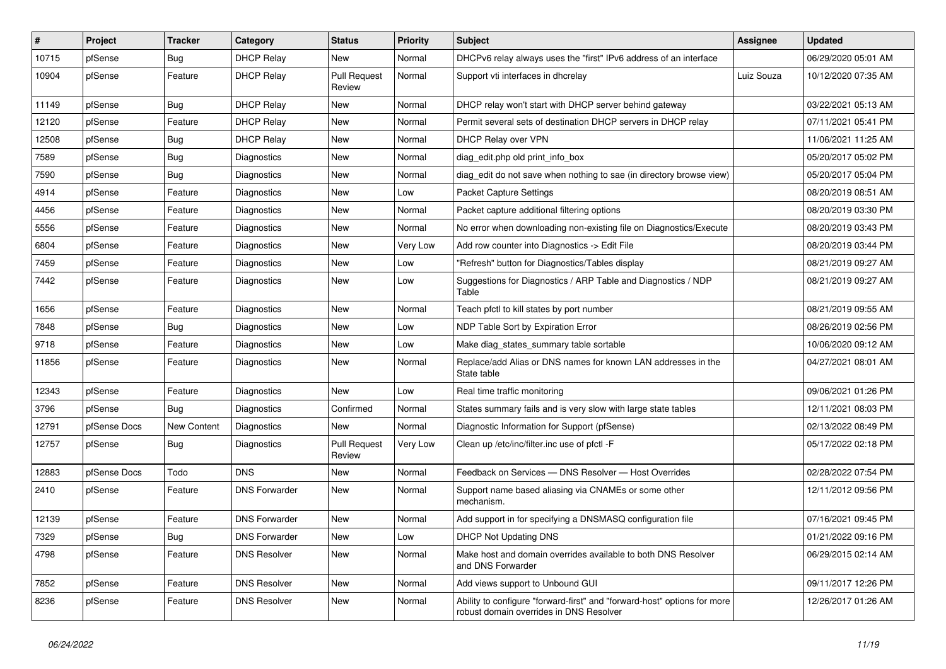| $\vert$ # | Project      | <b>Tracker</b> | Category             | <b>Status</b>                 | <b>Priority</b> | Subject                                                                                                             | Assignee   | <b>Updated</b>      |
|-----------|--------------|----------------|----------------------|-------------------------------|-----------------|---------------------------------------------------------------------------------------------------------------------|------------|---------------------|
| 10715     | pfSense      | <b>Bug</b>     | <b>DHCP Relay</b>    | New                           | Normal          | DHCPv6 relay always uses the "first" IPv6 address of an interface                                                   |            | 06/29/2020 05:01 AM |
| 10904     | pfSense      | Feature        | <b>DHCP Relay</b>    | <b>Pull Request</b><br>Review | Normal          | Support vti interfaces in dhcrelay                                                                                  | Luiz Souza | 10/12/2020 07:35 AM |
| 11149     | pfSense      | <b>Bug</b>     | <b>DHCP Relay</b>    | New                           | Normal          | DHCP relay won't start with DHCP server behind gateway                                                              |            | 03/22/2021 05:13 AM |
| 12120     | pfSense      | Feature        | <b>DHCP Relay</b>    | <b>New</b>                    | Normal          | Permit several sets of destination DHCP servers in DHCP relay                                                       |            | 07/11/2021 05:41 PM |
| 12508     | pfSense      | <b>Bug</b>     | <b>DHCP Relay</b>    | New                           | Normal          | DHCP Relay over VPN                                                                                                 |            | 11/06/2021 11:25 AM |
| 7589      | pfSense      | Bug            | Diagnostics          | New                           | Normal          | diag_edit.php old print_info_box                                                                                    |            | 05/20/2017 05:02 PM |
| 7590      | pfSense      | <b>Bug</b>     | Diagnostics          | New                           | Normal          | diag_edit do not save when nothing to sae (in directory browse view)                                                |            | 05/20/2017 05:04 PM |
| 4914      | pfSense      | Feature        | Diagnostics          | <b>New</b>                    | Low             | Packet Capture Settings                                                                                             |            | 08/20/2019 08:51 AM |
| 4456      | pfSense      | Feature        | Diagnostics          | <b>New</b>                    | Normal          | Packet capture additional filtering options                                                                         |            | 08/20/2019 03:30 PM |
| 5556      | pfSense      | Feature        | Diagnostics          | New                           | Normal          | No error when downloading non-existing file on Diagnostics/Execute                                                  |            | 08/20/2019 03:43 PM |
| 6804      | pfSense      | Feature        | Diagnostics          | <b>New</b>                    | Very Low        | Add row counter into Diagnostics -> Edit File                                                                       |            | 08/20/2019 03:44 PM |
| 7459      | pfSense      | Feature        | <b>Diagnostics</b>   | New                           | Low             | "Refresh" button for Diagnostics/Tables display                                                                     |            | 08/21/2019 09:27 AM |
| 7442      | pfSense      | Feature        | Diagnostics          | New                           | Low             | Suggestions for Diagnostics / ARP Table and Diagnostics / NDP<br>Table                                              |            | 08/21/2019 09:27 AM |
| 1656      | pfSense      | Feature        | Diagnostics          | <b>New</b>                    | Normal          | Teach pfctl to kill states by port number                                                                           |            | 08/21/2019 09:55 AM |
| 7848      | pfSense      | <b>Bug</b>     | Diagnostics          | <b>New</b>                    | Low             | NDP Table Sort by Expiration Error                                                                                  |            | 08/26/2019 02:56 PM |
| 9718      | pfSense      | Feature        | Diagnostics          | New                           | Low             | Make diag_states_summary table sortable                                                                             |            | 10/06/2020 09:12 AM |
| 11856     | pfSense      | Feature        | Diagnostics          | New                           | Normal          | Replace/add Alias or DNS names for known LAN addresses in the<br>State table                                        |            | 04/27/2021 08:01 AM |
| 12343     | pfSense      | Feature        | Diagnostics          | <b>New</b>                    | Low             | Real time traffic monitoring                                                                                        |            | 09/06/2021 01:26 PM |
| 3796      | pfSense      | Bug            | Diagnostics          | Confirmed                     | Normal          | States summary fails and is very slow with large state tables                                                       |            | 12/11/2021 08:03 PM |
| 12791     | pfSense Docs | New Content    | Diagnostics          | New                           | Normal          | Diagnostic Information for Support (pfSense)                                                                        |            | 02/13/2022 08:49 PM |
| 12757     | pfSense      | <b>Bug</b>     | Diagnostics          | <b>Pull Request</b><br>Review | Very Low        | Clean up /etc/inc/filter.inc use of pfctl -F                                                                        |            | 05/17/2022 02:18 PM |
| 12883     | pfSense Docs | Todo           | <b>DNS</b>           | <b>New</b>                    | Normal          | Feedback on Services - DNS Resolver - Host Overrides                                                                |            | 02/28/2022 07:54 PM |
| 2410      | pfSense      | Feature        | <b>DNS Forwarder</b> | New                           | Normal          | Support name based aliasing via CNAMEs or some other<br>mechanism.                                                  |            | 12/11/2012 09:56 PM |
| 12139     | pfSense      | Feature        | <b>DNS Forwarder</b> | <b>New</b>                    | Normal          | Add support in for specifying a DNSMASQ configuration file                                                          |            | 07/16/2021 09:45 PM |
| 7329      | pfSense      | Bug            | <b>DNS Forwarder</b> | New                           | Low             | DHCP Not Updating DNS                                                                                               |            | 01/21/2022 09:16 PM |
| 4798      | pfSense      | Feature        | <b>DNS Resolver</b>  | New                           | Normal          | Make host and domain overrides available to both DNS Resolver<br>and DNS Forwarder                                  |            | 06/29/2015 02:14 AM |
| 7852      | pfSense      | Feature        | <b>DNS Resolver</b>  | New                           | Normal          | Add views support to Unbound GUI                                                                                    |            | 09/11/2017 12:26 PM |
| 8236      | pfSense      | Feature        | <b>DNS Resolver</b>  | New                           | Normal          | Ability to configure "forward-first" and "forward-host" options for more<br>robust domain overrides in DNS Resolver |            | 12/26/2017 01:26 AM |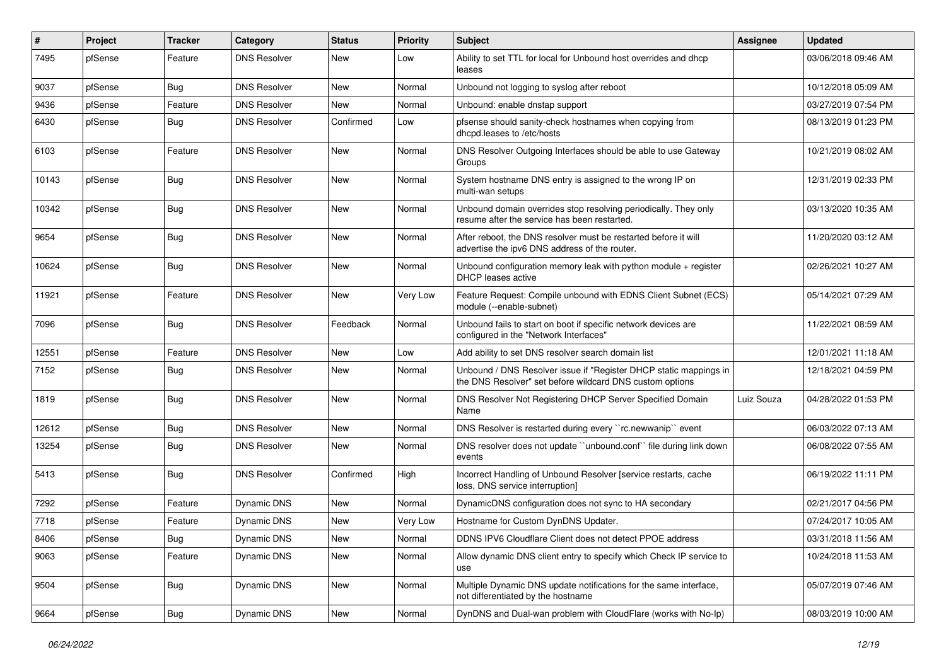| $\vert$ # | Project | <b>Tracker</b> | Category            | <b>Status</b> | <b>Priority</b> | Subject                                                                                                                       | Assignee   | <b>Updated</b>      |
|-----------|---------|----------------|---------------------|---------------|-----------------|-------------------------------------------------------------------------------------------------------------------------------|------------|---------------------|
| 7495      | pfSense | Feature        | <b>DNS Resolver</b> | <b>New</b>    | Low             | Ability to set TTL for local for Unbound host overrides and dhcp<br>leases                                                    |            | 03/06/2018 09:46 AM |
| 9037      | pfSense | Bug            | <b>DNS Resolver</b> | New           | Normal          | Unbound not logging to syslog after reboot                                                                                    |            | 10/12/2018 05:09 AM |
| 9436      | pfSense | Feature        | <b>DNS Resolver</b> | New           | Normal          | Unbound: enable dnstap support                                                                                                |            | 03/27/2019 07:54 PM |
| 6430      | pfSense | <b>Bug</b>     | <b>DNS Resolver</b> | Confirmed     | Low             | pfsense should sanity-check hostnames when copying from<br>dhcpd.leases to /etc/hosts                                         |            | 08/13/2019 01:23 PM |
| 6103      | pfSense | Feature        | <b>DNS Resolver</b> | New           | Normal          | DNS Resolver Outgoing Interfaces should be able to use Gateway<br>Groups                                                      |            | 10/21/2019 08:02 AM |
| 10143     | pfSense | Bug            | <b>DNS Resolver</b> | <b>New</b>    | Normal          | System hostname DNS entry is assigned to the wrong IP on<br>multi-wan setups                                                  |            | 12/31/2019 02:33 PM |
| 10342     | pfSense | Bug            | <b>DNS Resolver</b> | <b>New</b>    | Normal          | Unbound domain overrides stop resolving periodically. They only<br>resume after the service has been restarted.               |            | 03/13/2020 10:35 AM |
| 9654      | pfSense | Bug            | <b>DNS Resolver</b> | <b>New</b>    | Normal          | After reboot, the DNS resolver must be restarted before it will<br>advertise the ipv6 DNS address of the router.              |            | 11/20/2020 03:12 AM |
| 10624     | pfSense | <b>Bug</b>     | <b>DNS Resolver</b> | <b>New</b>    | Normal          | Unbound configuration memory leak with python module + register<br>DHCP leases active                                         |            | 02/26/2021 10:27 AM |
| 11921     | pfSense | Feature        | <b>DNS Resolver</b> | <b>New</b>    | Very Low        | Feature Request: Compile unbound with EDNS Client Subnet (ECS)<br>module (--enable-subnet)                                    |            | 05/14/2021 07:29 AM |
| 7096      | pfSense | Bug            | <b>DNS Resolver</b> | Feedback      | Normal          | Unbound fails to start on boot if specific network devices are<br>configured in the "Network Interfaces"                      |            | 11/22/2021 08:59 AM |
| 12551     | pfSense | Feature        | <b>DNS Resolver</b> | <b>New</b>    | Low             | Add ability to set DNS resolver search domain list                                                                            |            | 12/01/2021 11:18 AM |
| 7152      | pfSense | <b>Bug</b>     | <b>DNS Resolver</b> | New           | Normal          | Unbound / DNS Resolver issue if "Register DHCP static mappings in<br>the DNS Resolver" set before wildcard DNS custom options |            | 12/18/2021 04:59 PM |
| 1819      | pfSense | <b>Bug</b>     | <b>DNS Resolver</b> | <b>New</b>    | Normal          | DNS Resolver Not Registering DHCP Server Specified Domain<br>Name                                                             | Luiz Souza | 04/28/2022 01:53 PM |
| 12612     | pfSense | <b>Bug</b>     | <b>DNS Resolver</b> | <b>New</b>    | Normal          | DNS Resolver is restarted during every "rc.newwanip" event                                                                    |            | 06/03/2022 07:13 AM |
| 13254     | pfSense | Bug            | <b>DNS Resolver</b> | <b>New</b>    | Normal          | DNS resolver does not update "unbound.conf" file during link down<br>events                                                   |            | 06/08/2022 07:55 AM |
| 5413      | pfSense | Bug            | <b>DNS Resolver</b> | Confirmed     | High            | Incorrect Handling of Unbound Resolver [service restarts, cache<br>loss, DNS service interruption]                            |            | 06/19/2022 11:11 PM |
| 7292      | pfSense | Feature        | Dynamic DNS         | <b>New</b>    | Normal          | DynamicDNS configuration does not sync to HA secondary                                                                        |            | 02/21/2017 04:56 PM |
| 7718      | pfSense | Feature        | Dynamic DNS         | <b>New</b>    | Very Low        | Hostname for Custom DynDNS Updater.                                                                                           |            | 07/24/2017 10:05 AM |
| 8406      | pfSense | <b>Bug</b>     | <b>Dynamic DNS</b>  | New           | Normal          | DDNS IPV6 Cloudflare Client does not detect PPOE address                                                                      |            | 03/31/2018 11:56 AM |
| 9063      | pfSense | Feature        | Dynamic DNS         | New           | Normal          | Allow dynamic DNS client entry to specify which Check IP service to<br>use                                                    |            | 10/24/2018 11:53 AM |
| 9504      | pfSense | <b>Bug</b>     | Dynamic DNS         | New           | Normal          | Multiple Dynamic DNS update notifications for the same interface,<br>not differentiated by the hostname                       |            | 05/07/2019 07:46 AM |
| 9664      | pfSense | <b>Bug</b>     | Dynamic DNS         | New           | Normal          | DynDNS and Dual-wan problem with CloudFlare (works with No-Ip)                                                                |            | 08/03/2019 10:00 AM |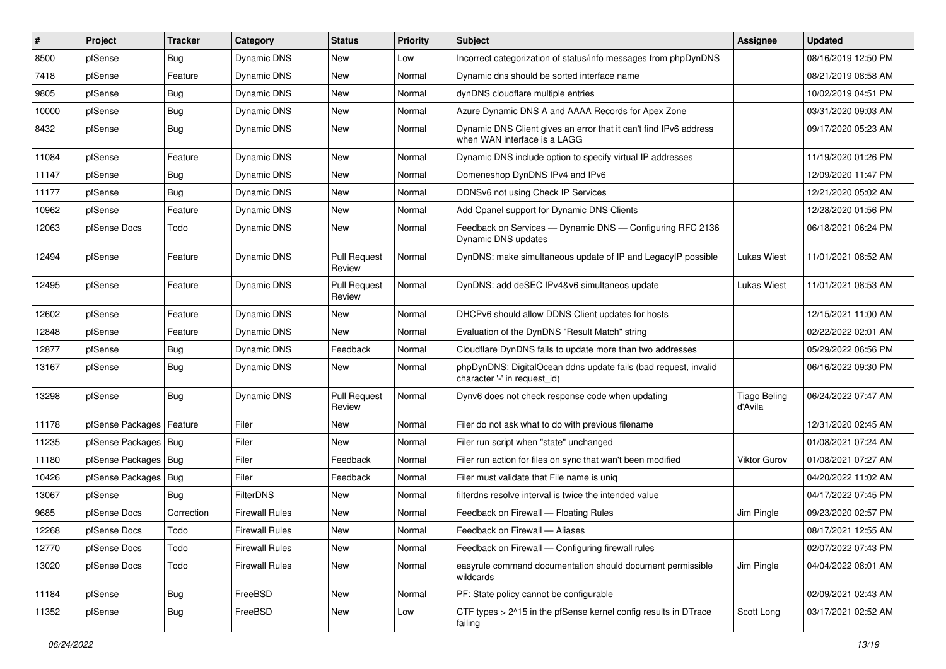| $\vert$ # | Project                | <b>Tracker</b> | Category              | <b>Status</b>                 | <b>Priority</b> | <b>Subject</b>                                                                                    | <b>Assignee</b>                | <b>Updated</b>      |
|-----------|------------------------|----------------|-----------------------|-------------------------------|-----------------|---------------------------------------------------------------------------------------------------|--------------------------------|---------------------|
| 8500      | pfSense                | Bug            | Dynamic DNS           | New                           | Low             | Incorrect categorization of status/info messages from phpDynDNS                                   |                                | 08/16/2019 12:50 PM |
| 7418      | pfSense                | Feature        | Dynamic DNS           | New                           | Normal          | Dynamic dns should be sorted interface name                                                       |                                | 08/21/2019 08:58 AM |
| 9805      | pfSense                | <b>Bug</b>     | Dynamic DNS           | New                           | Normal          | dynDNS cloudflare multiple entries                                                                |                                | 10/02/2019 04:51 PM |
| 10000     | pfSense                | <b>Bug</b>     | Dynamic DNS           | New                           | Normal          | Azure Dynamic DNS A and AAAA Records for Apex Zone                                                |                                | 03/31/2020 09:03 AM |
| 8432      | pfSense                | Bug            | Dynamic DNS           | New                           | Normal          | Dynamic DNS Client gives an error that it can't find IPv6 address<br>when WAN interface is a LAGG |                                | 09/17/2020 05:23 AM |
| 11084     | pfSense                | Feature        | Dynamic DNS           | New                           | Normal          | Dynamic DNS include option to specify virtual IP addresses                                        |                                | 11/19/2020 01:26 PM |
| 11147     | pfSense                | <b>Bug</b>     | Dynamic DNS           | <b>New</b>                    | Normal          | Domeneshop DynDNS IPv4 and IPv6                                                                   |                                | 12/09/2020 11:47 PM |
| 11177     | pfSense                | <b>Bug</b>     | <b>Dynamic DNS</b>    | New                           | Normal          | DDNSv6 not using Check IP Services                                                                |                                | 12/21/2020 05:02 AM |
| 10962     | pfSense                | Feature        | Dynamic DNS           | <b>New</b>                    | Normal          | Add Cpanel support for Dynamic DNS Clients                                                        |                                | 12/28/2020 01:56 PM |
| 12063     | pfSense Docs           | Todo           | Dynamic DNS           | New                           | Normal          | Feedback on Services - Dynamic DNS - Configuring RFC 2136<br>Dynamic DNS updates                  |                                | 06/18/2021 06:24 PM |
| 12494     | pfSense                | Feature        | Dynamic DNS           | <b>Pull Request</b><br>Review | Normal          | DynDNS: make simultaneous update of IP and LegacyIP possible                                      | Lukas Wiest                    | 11/01/2021 08:52 AM |
| 12495     | pfSense                | Feature        | Dynamic DNS           | <b>Pull Request</b><br>Review | Normal          | DynDNS: add deSEC IPv4&v6 simultaneos update                                                      | <b>Lukas Wiest</b>             | 11/01/2021 08:53 AM |
| 12602     | pfSense                | Feature        | Dynamic DNS           | New                           | Normal          | DHCPv6 should allow DDNS Client updates for hosts                                                 |                                | 12/15/2021 11:00 AM |
| 12848     | pfSense                | Feature        | Dynamic DNS           | New                           | Normal          | Evaluation of the DynDNS "Result Match" string                                                    |                                | 02/22/2022 02:01 AM |
| 12877     | pfSense                | <b>Bug</b>     | Dynamic DNS           | Feedback                      | Normal          | Cloudflare DynDNS fails to update more than two addresses                                         |                                | 05/29/2022 06:56 PM |
| 13167     | pfSense                | <b>Bug</b>     | Dynamic DNS           | New                           | Normal          | phpDynDNS: DigitalOcean ddns update fails (bad request, invalid<br>character '-' in request_id)   |                                | 06/16/2022 09:30 PM |
| 13298     | pfSense                | Bug            | Dynamic DNS           | <b>Pull Request</b><br>Review | Normal          | Dynv6 does not check response code when updating                                                  | <b>Tiago Beling</b><br>d'Avila | 06/24/2022 07:47 AM |
| 11178     | pfSense Packages       | Feature        | Filer                 | New                           | Normal          | Filer do not ask what to do with previous filename                                                |                                | 12/31/2020 02:45 AM |
| 11235     | pfSense Packages   Bug |                | Filer                 | New                           | Normal          | Filer run script when "state" unchanged                                                           |                                | 01/08/2021 07:24 AM |
| 11180     | pfSense Packages   Bug |                | Filer                 | Feedback                      | Normal          | Filer run action for files on sync that wan't been modified                                       | <b>Viktor Gurov</b>            | 01/08/2021 07:27 AM |
| 10426     | pfSense Packages   Bug |                | Filer                 | Feedback                      | Normal          | Filer must validate that File name is uniq                                                        |                                | 04/20/2022 11:02 AM |
| 13067     | pfSense                | Bug            | <b>FilterDNS</b>      | New                           | Normal          | filterdns resolve interval is twice the intended value                                            |                                | 04/17/2022 07:45 PM |
| 9685      | pfSense Docs           | Correction     | <b>Firewall Rules</b> | New                           | Normal          | Feedback on Firewall - Floating Rules                                                             | Jim Pingle                     | 09/23/2020 02:57 PM |
| 12268     | pfSense Docs           | Todo           | <b>Firewall Rules</b> | New                           | Normal          | Feedback on Firewall - Aliases                                                                    |                                | 08/17/2021 12:55 AM |
| 12770     | pfSense Docs           | Todo           | <b>Firewall Rules</b> | New                           | Normal          | Feedback on Firewall - Configuring firewall rules                                                 |                                | 02/07/2022 07:43 PM |
| 13020     | pfSense Docs           | Todo           | <b>Firewall Rules</b> | New                           | Normal          | easyrule command documentation should document permissible<br>wildcards                           | Jim Pingle                     | 04/04/2022 08:01 AM |
| 11184     | pfSense                | <b>Bug</b>     | FreeBSD               | New                           | Normal          | PF: State policy cannot be configurable                                                           |                                | 02/09/2021 02:43 AM |
| 11352     | pfSense                | <b>Bug</b>     | FreeBSD               | New                           | Low             | CTF types > 2^15 in the pfSense kernel config results in DTrace<br>failing                        | Scott Long                     | 03/17/2021 02:52 AM |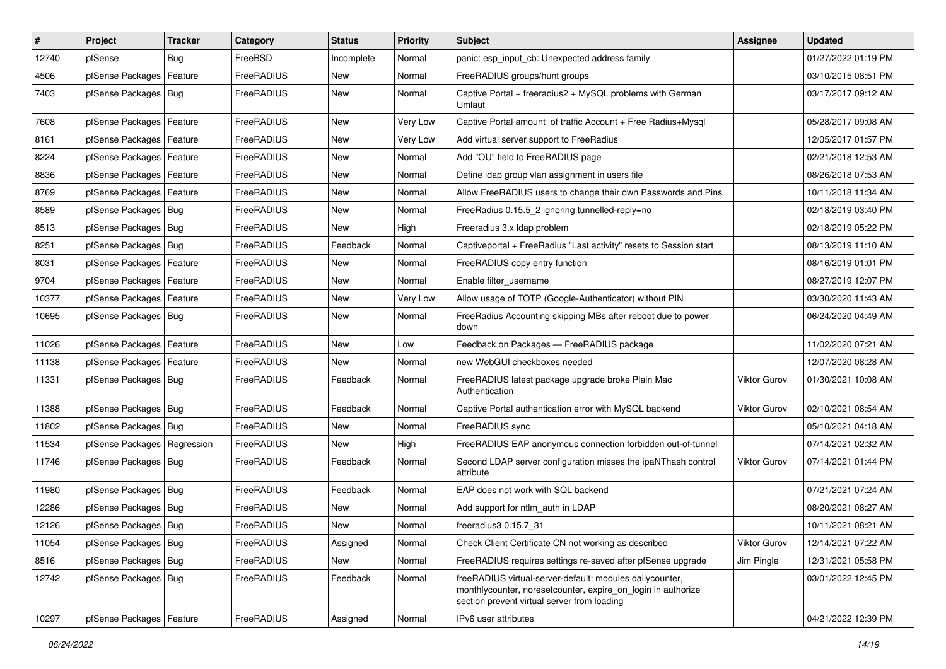| $\vert$ # | Project                    | <b>Tracker</b> | Category          | <b>Status</b> | <b>Priority</b> | Subject                                                                                                                                                                 | Assignee     | <b>Updated</b>      |
|-----------|----------------------------|----------------|-------------------|---------------|-----------------|-------------------------------------------------------------------------------------------------------------------------------------------------------------------------|--------------|---------------------|
| 12740     | pfSense                    | Bug            | FreeBSD           | Incomplete    | Normal          | panic: esp input cb: Unexpected address family                                                                                                                          |              | 01/27/2022 01:19 PM |
| 4506      | pfSense Packages           | Feature        | FreeRADIUS        | New           | Normal          | FreeRADIUS groups/hunt groups                                                                                                                                           |              | 03/10/2015 08:51 PM |
| 7403      | pfSense Packages   Bug     |                | FreeRADIUS        | New           | Normal          | Captive Portal + freeradius2 + MySQL problems with German<br>Umlaut                                                                                                     |              | 03/17/2017 09:12 AM |
| 7608      | pfSense Packages   Feature |                | FreeRADIUS        | <b>New</b>    | Very Low        | Captive Portal amount of traffic Account + Free Radius+Mysql                                                                                                            |              | 05/28/2017 09:08 AM |
| 8161      | pfSense Packages   Feature |                | FreeRADIUS        | New           | Very Low        | Add virtual server support to FreeRadius                                                                                                                                |              | 12/05/2017 01:57 PM |
| 8224      | pfSense Packages   Feature |                | FreeRADIUS        | New           | Normal          | Add "OU" field to FreeRADIUS page                                                                                                                                       |              | 02/21/2018 12:53 AM |
| 8836      | pfSense Packages   Feature |                | FreeRADIUS        | New           | Normal          | Define Idap group vlan assignment in users file                                                                                                                         |              | 08/26/2018 07:53 AM |
| 8769      | pfSense Packages   Feature |                | FreeRADIUS        | New           | Normal          | Allow FreeRADIUS users to change their own Passwords and Pins                                                                                                           |              | 10/11/2018 11:34 AM |
| 8589      | pfSense Packages   Bug     |                | FreeRADIUS        | New           | Normal          | FreeRadius 0.15.5_2 ignoring tunnelled-reply=no                                                                                                                         |              | 02/18/2019 03:40 PM |
| 8513      | pfSense Packages   Bug     |                | FreeRADIUS        | New           | High            | Freeradius 3.x Idap problem                                                                                                                                             |              | 02/18/2019 05:22 PM |
| 8251      | pfSense Packages   Bug     |                | FreeRADIUS        | Feedback      | Normal          | Captiveportal + FreeRadius "Last activity" resets to Session start                                                                                                      |              | 08/13/2019 11:10 AM |
| 8031      | pfSense Packages   Feature |                | FreeRADIUS        | <b>New</b>    | Normal          | FreeRADIUS copy entry function                                                                                                                                          |              | 08/16/2019 01:01 PM |
| 9704      | pfSense Packages   Feature |                | FreeRADIUS        | New           | Normal          | Enable filter username                                                                                                                                                  |              | 08/27/2019 12:07 PM |
| 10377     | pfSense Packages   Feature |                | <b>FreeRADIUS</b> | New           | Very Low        | Allow usage of TOTP (Google-Authenticator) without PIN                                                                                                                  |              | 03/30/2020 11:43 AM |
| 10695     | pfSense Packages   Bug     |                | <b>FreeRADIUS</b> | New           | Normal          | FreeRadius Accounting skipping MBs after reboot due to power<br>down                                                                                                    |              | 06/24/2020 04:49 AM |
| 11026     | pfSense Packages   Feature |                | FreeRADIUS        | <b>New</b>    | Low             | Feedback on Packages - FreeRADIUS package                                                                                                                               |              | 11/02/2020 07:21 AM |
| 11138     | pfSense Packages   Feature |                | FreeRADIUS        | New           | Normal          | new WebGUI checkboxes needed                                                                                                                                            |              | 12/07/2020 08:28 AM |
| 11331     | pfSense Packages   Bug     |                | FreeRADIUS        | Feedback      | Normal          | FreeRADIUS latest package upgrade broke Plain Mac<br>Authentication                                                                                                     | Viktor Gurov | 01/30/2021 10:08 AM |
| 11388     | pfSense Packages   Bug     |                | FreeRADIUS        | Feedback      | Normal          | Captive Portal authentication error with MySQL backend                                                                                                                  | Viktor Gurov | 02/10/2021 08:54 AM |
| 11802     | pfSense Packages   Bug     |                | FreeRADIUS        | New           | Normal          | FreeRADIUS sync                                                                                                                                                         |              | 05/10/2021 04:18 AM |
| 11534     | pfSense Packages           | Regression     | FreeRADIUS        | New           | High            | FreeRADIUS EAP anonymous connection forbidden out-of-tunnel                                                                                                             |              | 07/14/2021 02:32 AM |
| 11746     | pfSense Packages   Bug     |                | FreeRADIUS        | Feedback      | Normal          | Second LDAP server configuration misses the ipaNThash control<br>attribute                                                                                              | Viktor Gurov | 07/14/2021 01:44 PM |
| 11980     | pfSense Packages   Bug     |                | FreeRADIUS        | Feedback      | Normal          | EAP does not work with SQL backend                                                                                                                                      |              | 07/21/2021 07:24 AM |
| 12286     | pfSense Packages   Bug     |                | FreeRADIUS        | New           | Normal          | Add support for ntlm auth in LDAP                                                                                                                                       |              | 08/20/2021 08:27 AM |
| 12126     | pfSense Packages   Bug     |                | FreeRADIUS        | New           | Normal          | freeradius3 0.15.7_31                                                                                                                                                   |              | 10/11/2021 08:21 AM |
| 11054     | pfSense Packages   Bug     |                | FreeRADIUS        | Assigned      | Normal          | Check Client Certificate CN not working as described                                                                                                                    | Viktor Gurov | 12/14/2021 07:22 AM |
| 8516      | pfSense Packages   Bug     |                | FreeRADIUS        | New           | Normal          | FreeRADIUS requires settings re-saved after pfSense upgrade                                                                                                             | Jim Pingle   | 12/31/2021 05:58 PM |
| 12742     | pfSense Packages   Bug     |                | FreeRADIUS        | Feedback      | Normal          | freeRADIUS virtual-server-default: modules dailycounter,<br>monthlycounter, noresetcounter, expire_on_login in authorize<br>section prevent virtual server from loading |              | 03/01/2022 12:45 PM |
| 10297     | pfSense Packages   Feature |                | FreeRADIUS        | Assigned      | Normal          | IPv6 user attributes                                                                                                                                                    |              | 04/21/2022 12:39 PM |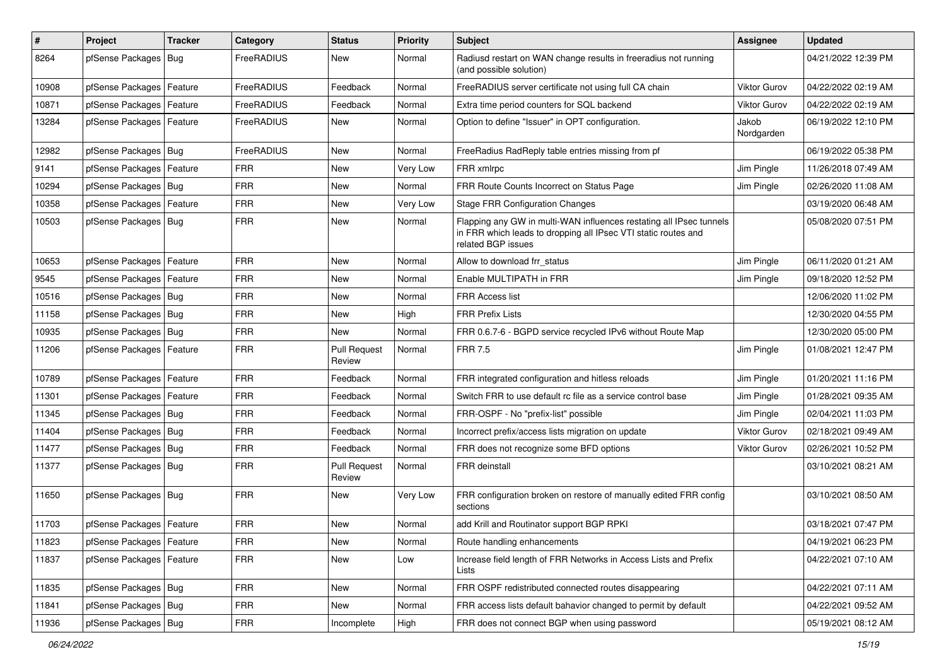| $\vert$ # | Project                    | <b>Tracker</b> | Category   | <b>Status</b>                 | Priority | <b>Subject</b>                                                                                                                                              | <b>Assignee</b>     | <b>Updated</b>      |
|-----------|----------------------------|----------------|------------|-------------------------------|----------|-------------------------------------------------------------------------------------------------------------------------------------------------------------|---------------------|---------------------|
| 8264      | pfSense Packages           | Bug            | FreeRADIUS | New                           | Normal   | Radiusd restart on WAN change results in freeradius not running<br>(and possible solution)                                                                  |                     | 04/21/2022 12:39 PM |
| 10908     | pfSense Packages           | Feature        | FreeRADIUS | Feedback                      | Normal   | FreeRADIUS server certificate not using full CA chain                                                                                                       | Viktor Gurov        | 04/22/2022 02:19 AM |
| 10871     | pfSense Packages   Feature |                | FreeRADIUS | Feedback                      | Normal   | Extra time period counters for SQL backend                                                                                                                  | <b>Viktor Gurov</b> | 04/22/2022 02:19 AM |
| 13284     | pfSense Packages   Feature |                | FreeRADIUS | <b>New</b>                    | Normal   | Option to define "Issuer" in OPT configuration.                                                                                                             | Jakob<br>Nordgarden | 06/19/2022 12:10 PM |
| 12982     | pfSense Packages   Bug     |                | FreeRADIUS | New                           | Normal   | FreeRadius RadReply table entries missing from pf                                                                                                           |                     | 06/19/2022 05:38 PM |
| 9141      | pfSense Packages           | Feature        | <b>FRR</b> | <b>New</b>                    | Very Low | FRR xmlrpc                                                                                                                                                  | Jim Pingle          | 11/26/2018 07:49 AM |
| 10294     | pfSense Packages   Bug     |                | <b>FRR</b> | New                           | Normal   | FRR Route Counts Incorrect on Status Page                                                                                                                   | Jim Pingle          | 02/26/2020 11:08 AM |
| 10358     | pfSense Packages           | Feature        | <b>FRR</b> | <b>New</b>                    | Very Low | <b>Stage FRR Configuration Changes</b>                                                                                                                      |                     | 03/19/2020 06:48 AM |
| 10503     | pfSense Packages   Bug     |                | <b>FRR</b> | New                           | Normal   | Flapping any GW in multi-WAN influences restating all IPsec tunnels<br>in FRR which leads to dropping all IPsec VTI static routes and<br>related BGP issues |                     | 05/08/2020 07:51 PM |
| 10653     | pfSense Packages           | Feature        | <b>FRR</b> | <b>New</b>                    | Normal   | Allow to download frr status                                                                                                                                | Jim Pingle          | 06/11/2020 01:21 AM |
| 9545      | pfSense Packages   Feature |                | <b>FRR</b> | New                           | Normal   | Enable MULTIPATH in FRR                                                                                                                                     | Jim Pingle          | 09/18/2020 12:52 PM |
| 10516     | pfSense Packages           | Bug            | <b>FRR</b> | <b>New</b>                    | Normal   | <b>FRR Access list</b>                                                                                                                                      |                     | 12/06/2020 11:02 PM |
| 11158     | pfSense Packages   Bug     |                | <b>FRR</b> | New                           | High     | <b>FRR Prefix Lists</b>                                                                                                                                     |                     | 12/30/2020 04:55 PM |
| 10935     | pfSense Packages   Bug     |                | <b>FRR</b> | <b>New</b>                    | Normal   | FRR 0.6.7-6 - BGPD service recycled IPv6 without Route Map                                                                                                  |                     | 12/30/2020 05:00 PM |
| 11206     | pfSense Packages   Feature |                | <b>FRR</b> | <b>Pull Request</b><br>Review | Normal   | <b>FRR 7.5</b>                                                                                                                                              | Jim Pingle          | 01/08/2021 12:47 PM |
| 10789     | pfSense Packages   Feature |                | <b>FRR</b> | Feedback                      | Normal   | FRR integrated configuration and hitless reloads                                                                                                            | Jim Pingle          | 01/20/2021 11:16 PM |
| 11301     | pfSense Packages           | Feature        | <b>FRR</b> | Feedback                      | Normal   | Switch FRR to use default rc file as a service control base                                                                                                 | Jim Pingle          | 01/28/2021 09:35 AM |
| 11345     | pfSense Packages   Bug     |                | <b>FRR</b> | Feedback                      | Normal   | FRR-OSPF - No "prefix-list" possible                                                                                                                        | Jim Pingle          | 02/04/2021 11:03 PM |
| 11404     | pfSense Packages   Bug     |                | <b>FRR</b> | Feedback                      | Normal   | Incorrect prefix/access lists migration on update                                                                                                           | Viktor Gurov        | 02/18/2021 09:49 AM |
| 11477     | pfSense Packages   Bug     |                | <b>FRR</b> | Feedback                      | Normal   | FRR does not recognize some BFD options                                                                                                                     | <b>Viktor Gurov</b> | 02/26/2021 10:52 PM |
| 11377     | pfSense Packages   Bug     |                | <b>FRR</b> | <b>Pull Request</b><br>Review | Normal   | FRR deinstall                                                                                                                                               |                     | 03/10/2021 08:21 AM |
| 11650     | pfSense Packages   Bug     |                | <b>FRR</b> | New                           | Very Low | FRR configuration broken on restore of manually edited FRR config<br>sections                                                                               |                     | 03/10/2021 08:50 AM |
| 11703     | pfSense Packages   Feature |                | <b>FRR</b> | <b>New</b>                    | Normal   | add Krill and Routinator support BGP RPKI                                                                                                                   |                     | 03/18/2021 07:47 PM |
| 11823     | pfSense Packages   Feature |                | <b>FRR</b> | New                           | Normal   | Route handling enhancements                                                                                                                                 |                     | 04/19/2021 06:23 PM |
| 11837     | pfSense Packages   Feature |                | <b>FRR</b> | New                           | Low      | Increase field length of FRR Networks in Access Lists and Prefix<br>Lists                                                                                   |                     | 04/22/2021 07:10 AM |
| 11835     | pfSense Packages   Bug     |                | <b>FRR</b> | New                           | Normal   | FRR OSPF redistributed connected routes disappearing                                                                                                        |                     | 04/22/2021 07:11 AM |
| 11841     | pfSense Packages   Bug     |                | <b>FRR</b> | New                           | Normal   | FRR access lists default bahavior changed to permit by default                                                                                              |                     | 04/22/2021 09:52 AM |
| 11936     | pfSense Packages   Bug     |                | <b>FRR</b> | Incomplete                    | High     | FRR does not connect BGP when using password                                                                                                                |                     | 05/19/2021 08:12 AM |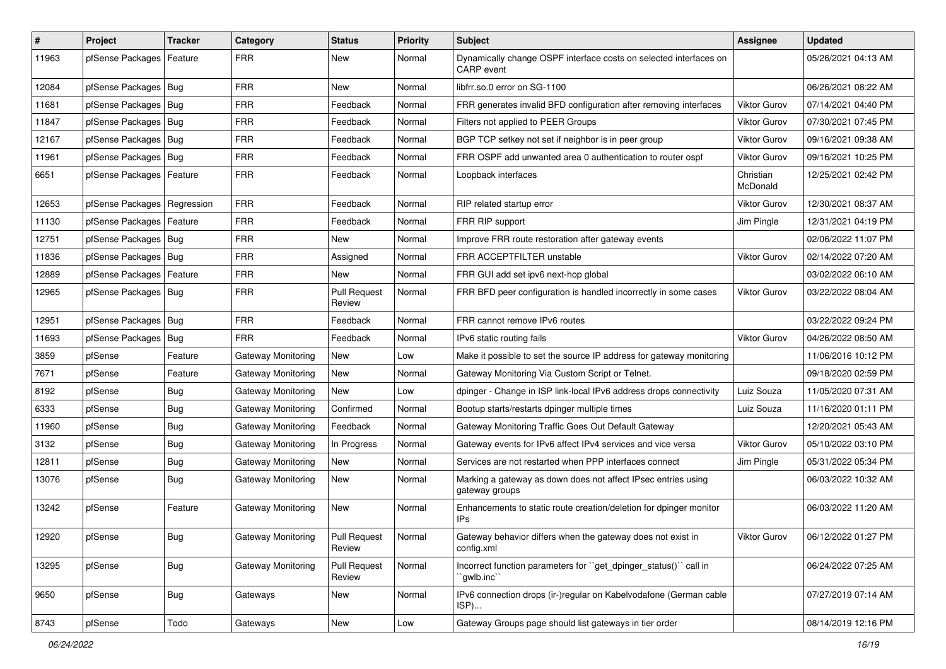| #     | Project                       | <b>Tracker</b> | Category                  | <b>Status</b>                 | Priority | <b>Subject</b>                                                                         | <b>Assignee</b>       | <b>Updated</b>      |
|-------|-------------------------------|----------------|---------------------------|-------------------------------|----------|----------------------------------------------------------------------------------------|-----------------------|---------------------|
| 11963 | pfSense Packages              | Feature        | <b>FRR</b>                | New                           | Normal   | Dynamically change OSPF interface costs on selected interfaces on<br><b>CARP</b> event |                       | 05/26/2021 04:13 AM |
| 12084 | pfSense Packages   Bug        |                | <b>FRR</b>                | <b>New</b>                    | Normal   | libfrr.so.0 error on SG-1100                                                           |                       | 06/26/2021 08:22 AM |
| 11681 | pfSense Packages   Bug        |                | <b>FRR</b>                | Feedback                      | Normal   | FRR generates invalid BFD configuration after removing interfaces                      | <b>Viktor Gurov</b>   | 07/14/2021 04:40 PM |
| 11847 | pfSense Packages   Bug        |                | <b>FRR</b>                | Feedback                      | Normal   | Filters not applied to PEER Groups                                                     | Viktor Gurov          | 07/30/2021 07:45 PM |
| 12167 | pfSense Packages   Bug        |                | <b>FRR</b>                | Feedback                      | Normal   | BGP TCP setkey not set if neighbor is in peer group                                    | <b>Viktor Gurov</b>   | 09/16/2021 09:38 AM |
| 11961 | pfSense Packages   Bug        |                | <b>FRR</b>                | Feedback                      | Normal   | FRR OSPF add unwanted area 0 authentication to router ospf                             | <b>Viktor Gurov</b>   | 09/16/2021 10:25 PM |
| 6651  | pfSense Packages              | Feature        | <b>FRR</b>                | Feedback                      | Normal   | Loopback interfaces                                                                    | Christian<br>McDonald | 12/25/2021 02:42 PM |
| 12653 | pfSense Packages   Regression |                | <b>FRR</b>                | Feedback                      | Normal   | RIP related startup error                                                              | <b>Viktor Gurov</b>   | 12/30/2021 08:37 AM |
| 11130 | pfSense Packages   Feature    |                | <b>FRR</b>                | Feedback                      | Normal   | FRR RIP support                                                                        | Jim Pingle            | 12/31/2021 04:19 PM |
| 12751 | pfSense Packages   Bug        |                | <b>FRR</b>                | New                           | Normal   | Improve FRR route restoration after gateway events                                     |                       | 02/06/2022 11:07 PM |
| 11836 | pfSense Packages              | Bug            | <b>FRR</b>                | Assigned                      | Normal   | FRR ACCEPTFILTER unstable                                                              | Viktor Gurov          | 02/14/2022 07:20 AM |
| 12889 | pfSense Packages              | Feature        | <b>FRR</b>                | New                           | Normal   | FRR GUI add set ipv6 next-hop global                                                   |                       | 03/02/2022 06:10 AM |
| 12965 | pfSense Packages   Bug        |                | <b>FRR</b>                | <b>Pull Request</b><br>Review | Normal   | FRR BFD peer configuration is handled incorrectly in some cases                        | <b>Viktor Gurov</b>   | 03/22/2022 08:04 AM |
| 12951 | pfSense Packages   Bug        |                | <b>FRR</b>                | Feedback                      | Normal   | FRR cannot remove IPv6 routes                                                          |                       | 03/22/2022 09:24 PM |
| 11693 | pfSense Packages              | Bug            | <b>FRR</b>                | Feedback                      | Normal   | IPv6 static routing fails                                                              | <b>Viktor Gurov</b>   | 04/26/2022 08:50 AM |
| 3859  | pfSense                       | Feature        | Gateway Monitoring        | New                           | Low      | Make it possible to set the source IP address for gateway monitoring                   |                       | 11/06/2016 10:12 PM |
| 7671  | pfSense                       | Feature        | Gateway Monitoring        | New                           | Normal   | Gateway Monitoring Via Custom Script or Telnet.                                        |                       | 09/18/2020 02:59 PM |
| 8192  | pfSense                       | <b>Bug</b>     | <b>Gateway Monitoring</b> | New                           | Low      | dpinger - Change in ISP link-local IPv6 address drops connectivity                     | Luiz Souza            | 11/05/2020 07:31 AM |
| 6333  | pfSense                       | Bug            | <b>Gateway Monitoring</b> | Confirmed                     | Normal   | Bootup starts/restarts dpinger multiple times                                          | Luiz Souza            | 11/16/2020 01:11 PM |
| 11960 | pfSense                       | <b>Bug</b>     | Gateway Monitoring        | Feedback                      | Normal   | Gateway Monitoring Traffic Goes Out Default Gateway                                    |                       | 12/20/2021 05:43 AM |
| 3132  | pfSense                       | <b>Bug</b>     | Gateway Monitoring        | In Progress                   | Normal   | Gateway events for IPv6 affect IPv4 services and vice versa                            | Viktor Gurov          | 05/10/2022 03:10 PM |
| 12811 | pfSense                       | <b>Bug</b>     | Gateway Monitoring        | New                           | Normal   | Services are not restarted when PPP interfaces connect                                 | Jim Pingle            | 05/31/2022 05:34 PM |
| 13076 | pfSense                       | Bug            | Gateway Monitoring        | New                           | Normal   | Marking a gateway as down does not affect IPsec entries using<br>gateway groups        |                       | 06/03/2022 10:32 AM |
| 13242 | pfSense                       | Feature        | Gateway Monitoring        | New                           | Normal   | Enhancements to static route creation/deletion for dpinger monitor<br>IPs              |                       | 06/03/2022 11:20 AM |
| 12920 | pfSense                       | <b>Bug</b>     | Gateway Monitoring        | <b>Pull Request</b><br>Review | Normal   | Gateway behavior differs when the gateway does not exist in<br>config.xml              | Viktor Gurov          | 06/12/2022 01:27 PM |
| 13295 | pfSense                       | <b>Bug</b>     | <b>Gateway Monitoring</b> | <b>Pull Request</b><br>Review | Normal   | Incorrect function parameters for "get_dpinger_status()" call in<br>`gwlb.inc``        |                       | 06/24/2022 07:25 AM |
| 9650  | pfSense                       | <b>Bug</b>     | Gateways                  | New                           | Normal   | IPv6 connection drops (ir-)regular on Kabelvodafone (German cable<br>ISP)              |                       | 07/27/2019 07:14 AM |
| 8743  | pfSense                       | Todo           | Gateways                  | New                           | Low      | Gateway Groups page should list gateways in tier order                                 |                       | 08/14/2019 12:16 PM |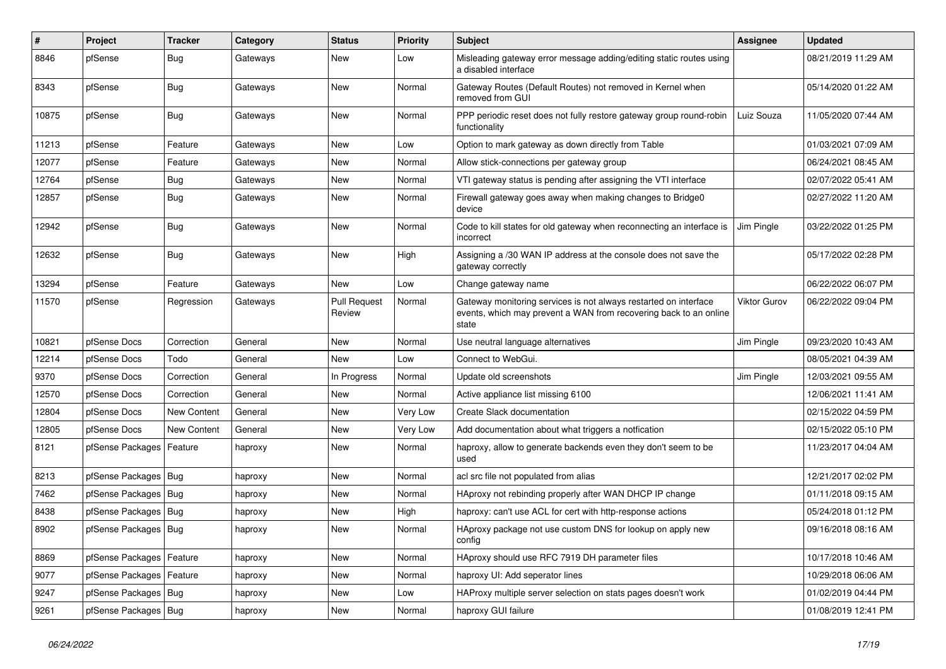| $\#$  | Project                    | <b>Tracker</b> | Category | <b>Status</b>                 | <b>Priority</b> | Subject                                                                                                                                        | <b>Assignee</b>     | <b>Updated</b>      |
|-------|----------------------------|----------------|----------|-------------------------------|-----------------|------------------------------------------------------------------------------------------------------------------------------------------------|---------------------|---------------------|
| 8846  | pfSense                    | <b>Bug</b>     | Gateways | <b>New</b>                    | Low             | Misleading gateway error message adding/editing static routes using<br>a disabled interface                                                    |                     | 08/21/2019 11:29 AM |
| 8343  | pfSense                    | Bug            | Gateways | <b>New</b>                    | Normal          | Gateway Routes (Default Routes) not removed in Kernel when<br>removed from GUI                                                                 |                     | 05/14/2020 01:22 AM |
| 10875 | pfSense                    | Bug            | Gateways | <b>New</b>                    | Normal          | PPP periodic reset does not fully restore gateway group round-robin<br>functionality                                                           | Luiz Souza          | 11/05/2020 07:44 AM |
| 11213 | pfSense                    | Feature        | Gateways | <b>New</b>                    | Low             | Option to mark gateway as down directly from Table                                                                                             |                     | 01/03/2021 07:09 AM |
| 12077 | pfSense                    | Feature        | Gateways | <b>New</b>                    | Normal          | Allow stick-connections per gateway group                                                                                                      |                     | 06/24/2021 08:45 AM |
| 12764 | pfSense                    | Bug            | Gateways | New                           | Normal          | VTI gateway status is pending after assigning the VTI interface                                                                                |                     | 02/07/2022 05:41 AM |
| 12857 | pfSense                    | <b>Bug</b>     | Gateways | <b>New</b>                    | Normal          | Firewall gateway goes away when making changes to Bridge0<br>device                                                                            |                     | 02/27/2022 11:20 AM |
| 12942 | pfSense                    | <b>Bug</b>     | Gateways | <b>New</b>                    | Normal          | Code to kill states for old gateway when reconnecting an interface is<br>incorrect                                                             | Jim Pingle          | 03/22/2022 01:25 PM |
| 12632 | pfSense                    | <b>Bug</b>     | Gateways | New                           | High            | Assigning a /30 WAN IP address at the console does not save the<br>gateway correctly                                                           |                     | 05/17/2022 02:28 PM |
| 13294 | pfSense                    | Feature        | Gateways | <b>New</b>                    | Low             | Change gateway name                                                                                                                            |                     | 06/22/2022 06:07 PM |
| 11570 | pfSense                    | Regression     | Gateways | <b>Pull Request</b><br>Review | Normal          | Gateway monitoring services is not always restarted on interface<br>events, which may prevent a WAN from recovering back to an online<br>state | <b>Viktor Gurov</b> | 06/22/2022 09:04 PM |
| 10821 | pfSense Docs               | Correction     | General  | New                           | Normal          | Use neutral language alternatives                                                                                                              | Jim Pingle          | 09/23/2020 10:43 AM |
| 12214 | pfSense Docs               | Todo           | General  | <b>New</b>                    | Low             | Connect to WebGui.                                                                                                                             |                     | 08/05/2021 04:39 AM |
| 9370  | pfSense Docs               | Correction     | General  | In Progress                   | Normal          | Update old screenshots                                                                                                                         | Jim Pingle          | 12/03/2021 09:55 AM |
| 12570 | pfSense Docs               | Correction     | General  | New                           | Normal          | Active appliance list missing 6100                                                                                                             |                     | 12/06/2021 11:41 AM |
| 12804 | pfSense Docs               | New Content    | General  | New                           | Very Low        | Create Slack documentation                                                                                                                     |                     | 02/15/2022 04:59 PM |
| 12805 | pfSense Docs               | New Content    | General  | New                           | Very Low        | Add documentation about what triggers a notfication                                                                                            |                     | 02/15/2022 05:10 PM |
| 8121  | pfSense Packages           | Feature        | haproxy  | New                           | Normal          | haproxy, allow to generate backends even they don't seem to be<br>used                                                                         |                     | 11/23/2017 04:04 AM |
| 8213  | pfSense Packages   Bug     |                | haproxy  | <b>New</b>                    | Normal          | acl src file not populated from alias                                                                                                          |                     | 12/21/2017 02:02 PM |
| 7462  | pfSense Packages   Bug     |                | haproxy  | <b>New</b>                    | Normal          | HAproxy not rebinding properly after WAN DHCP IP change                                                                                        |                     | 01/11/2018 09:15 AM |
| 8438  | pfSense Packages   Bug     |                | haproxy  | New                           | High            | haproxy: can't use ACL for cert with http-response actions                                                                                     |                     | 05/24/2018 01:12 PM |
| 8902  | pfSense Packages   Bug     |                | haproxy  | New                           | Normal          | HAproxy package not use custom DNS for lookup on apply new<br>config                                                                           |                     | 09/16/2018 08:16 AM |
| 8869  | pfSense Packages   Feature |                | haproxy  | <b>New</b>                    | Normal          | HAproxy should use RFC 7919 DH parameter files                                                                                                 |                     | 10/17/2018 10:46 AM |
| 9077  | pfSense Packages   Feature |                | haproxy  | New                           | Normal          | haproxy UI: Add seperator lines                                                                                                                |                     | 10/29/2018 06:06 AM |
| 9247  | pfSense Packages   Bug     |                | haproxy  | New                           | Low             | HAProxy multiple server selection on stats pages doesn't work                                                                                  |                     | 01/02/2019 04:44 PM |
| 9261  | pfSense Packages   Bug     |                | haproxy  | New                           | Normal          | haproxy GUI failure                                                                                                                            |                     | 01/08/2019 12:41 PM |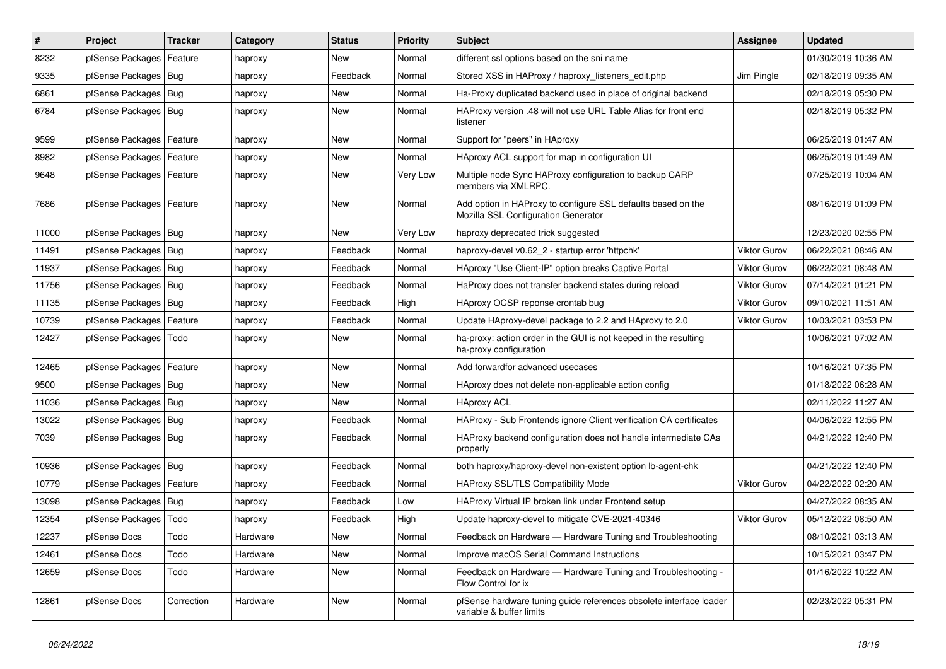| $\vert$ # | Project                    | <b>Tracker</b> | Category | <b>Status</b> | <b>Priority</b> | <b>Subject</b>                                                                                      | <b>Assignee</b>     | <b>Updated</b>      |
|-----------|----------------------------|----------------|----------|---------------|-----------------|-----------------------------------------------------------------------------------------------------|---------------------|---------------------|
| 8232      | pfSense Packages           | Feature        | haproxy  | New           | Normal          | different ssl options based on the sni name                                                         |                     | 01/30/2019 10:36 AM |
| 9335      | pfSense Packages   Bug     |                | haproxy  | Feedback      | Normal          | Stored XSS in HAProxy / haproxy_listeners_edit.php                                                  | Jim Pingle          | 02/18/2019 09:35 AM |
| 6861      | pfSense Packages   Bug     |                | haproxy  | New           | Normal          | Ha-Proxy duplicated backend used in place of original backend                                       |                     | 02/18/2019 05:30 PM |
| 6784      | pfSense Packages   Bug     |                | haproxy  | New           | Normal          | HAProxy version .48 will not use URL Table Alias for front end<br>listener                          |                     | 02/18/2019 05:32 PM |
| 9599      | pfSense Packages   Feature |                | haproxy  | New           | Normal          | Support for "peers" in HAproxy                                                                      |                     | 06/25/2019 01:47 AM |
| 8982      | pfSense Packages   Feature |                | haproxy  | New           | Normal          | HAproxy ACL support for map in configuration UI                                                     |                     | 06/25/2019 01:49 AM |
| 9648      | pfSense Packages   Feature |                | haproxy  | New           | Very Low        | Multiple node Sync HAProxy configuration to backup CARP<br>members via XMLRPC.                      |                     | 07/25/2019 10:04 AM |
| 7686      | pfSense Packages   Feature |                | haproxy  | New           | Normal          | Add option in HAProxy to configure SSL defaults based on the<br>Mozilla SSL Configuration Generator |                     | 08/16/2019 01:09 PM |
| 11000     | pfSense Packages   Bug     |                | haproxy  | New           | Very Low        | haproxy deprecated trick suggested                                                                  |                     | 12/23/2020 02:55 PM |
| 11491     | pfSense Packages   Bug     |                | haproxy  | Feedback      | Normal          | haproxy-devel v0.62 2 - startup error 'httpchk'                                                     | <b>Viktor Gurov</b> | 06/22/2021 08:46 AM |
| 11937     | pfSense Packages   Bug     |                | haproxy  | Feedback      | Normal          | HAproxy "Use Client-IP" option breaks Captive Portal                                                | <b>Viktor Gurov</b> | 06/22/2021 08:48 AM |
| 11756     | pfSense Packages   Bug     |                | haproxy  | Feedback      | Normal          | HaProxy does not transfer backend states during reload                                              | <b>Viktor Gurov</b> | 07/14/2021 01:21 PM |
| 11135     | pfSense Packages   Bug     |                | haproxy  | Feedback      | High            | HAproxy OCSP reponse crontab bug                                                                    | Viktor Gurov        | 09/10/2021 11:51 AM |
| 10739     | pfSense Packages   Feature |                | haproxy  | Feedback      | Normal          | Update HAproxy-devel package to 2.2 and HAproxy to 2.0                                              | <b>Viktor Gurov</b> | 10/03/2021 03:53 PM |
| 12427     | pfSense Packages           | Todo           | haproxy  | New           | Normal          | ha-proxy: action order in the GUI is not keeped in the resulting<br>ha-proxy configuration          |                     | 10/06/2021 07:02 AM |
| 12465     | pfSense Packages   Feature |                | haproxy  | <b>New</b>    | Normal          | Add forwardfor advanced usecases                                                                    |                     | 10/16/2021 07:35 PM |
| 9500      | pfSense Packages   Bug     |                | haproxy  | <b>New</b>    | Normal          | HAproxy does not delete non-applicable action config                                                |                     | 01/18/2022 06:28 AM |
| 11036     | pfSense Packages   Bug     |                | haproxy  | <b>New</b>    | Normal          | <b>HAproxy ACL</b>                                                                                  |                     | 02/11/2022 11:27 AM |
| 13022     | pfSense Packages   Bug     |                | haproxy  | Feedback      | Normal          | HAProxy - Sub Frontends ignore Client verification CA certificates                                  |                     | 04/06/2022 12:55 PM |
| 7039      | pfSense Packages   Bug     |                | haproxy  | Feedback      | Normal          | HAProxy backend configuration does not handle intermediate CAs<br>properly                          |                     | 04/21/2022 12:40 PM |
| 10936     | pfSense Packages   Bug     |                | haproxy  | Feedback      | Normal          | both haproxy/haproxy-devel non-existent option lb-agent-chk                                         |                     | 04/21/2022 12:40 PM |
| 10779     | pfSense Packages   Feature |                | haproxy  | Feedback      | Normal          | HAProxy SSL/TLS Compatibility Mode                                                                  | Viktor Gurov        | 04/22/2022 02:20 AM |
| 13098     | pfSense Packages   Bug     |                | haproxy  | Feedback      | Low             | HAProxy Virtual IP broken link under Frontend setup                                                 |                     | 04/27/2022 08:35 AM |
| 12354     | pfSense Packages           | Todo           | haproxy  | Feedback      | High            | Update haproxy-devel to mitigate CVE-2021-40346                                                     | Viktor Gurov        | 05/12/2022 08:50 AM |
| 12237     | pfSense Docs               | Todo           | Hardware | New           | Normal          | Feedback on Hardware — Hardware Tuning and Troubleshooting                                          |                     | 08/10/2021 03:13 AM |
| 12461     | pfSense Docs               | Todo           | Hardware | New           | Normal          | Improve macOS Serial Command Instructions                                                           |                     | 10/15/2021 03:47 PM |
| 12659     | pfSense Docs               | Todo           | Hardware | New           | Normal          | Feedback on Hardware - Hardware Tuning and Troubleshooting -<br>Flow Control for ix                 |                     | 01/16/2022 10:22 AM |
| 12861     | pfSense Docs               | Correction     | Hardware | New           | Normal          | pfSense hardware tuning guide references obsolete interface loader<br>variable & buffer limits      |                     | 02/23/2022 05:31 PM |